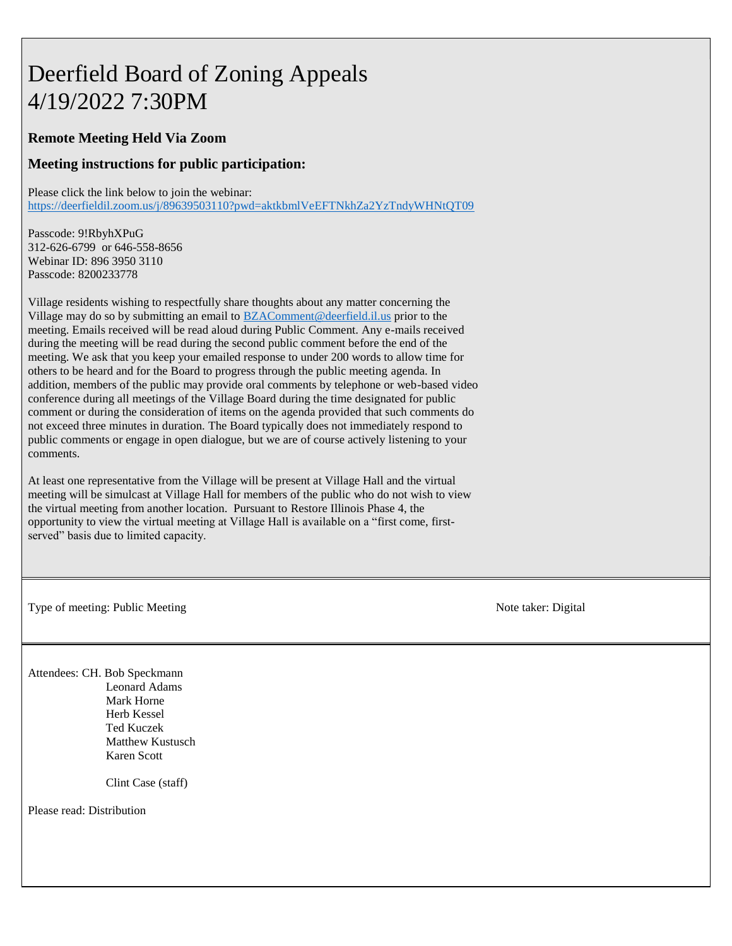# Deerfield Board of Zoning Appeals 4/19/2022 7:30PM

#### **Remote Meeting Held Via Zoom**

#### **Meeting instructions for public participation:**

Please click the link below to join the webinar:

<https://deerfieldil.zoom.us/j/89639503110?pwd=aktkbmlVeEFTNkhZa2YzTndyWHNtQT09>

Passcode: 9!RbyhXPuG 312-626-6799 or 646-558-8656 Webinar ID: 896 3950 3110 Passcode: 8200233778

Village residents wishing to respectfully share thoughts about any matter concerning the Village may do so by submitting an email to [BZAComment@deerfield.il.us](mailto:BZAComment@deerfield.il.us) prior to the meeting. Emails received will be read aloud during Public Comment. Any e-mails received during the meeting will be read during the second public comment before the end of the meeting. We ask that you keep your emailed response to under 200 words to allow time for others to be heard and for the Board to progress through the public meeting agenda. In addition, members of the public may provide oral comments by telephone or web-based video conference during all meetings of the Village Board during the time designated for public comment or during the consideration of items on the agenda provided that such comments do not exceed three minutes in duration. The Board typically does not immediately respond to public comments or engage in open dialogue, but we are of course actively listening to your comments.

At least one representative from the Village will be present at Village Hall and the virtual meeting will be simulcast at Village Hall for members of the public who do not wish to view the virtual meeting from another location. Pursuant to Restore Illinois Phase 4, the opportunity to view the virtual meeting at Village Hall is available on a "first come, firstserved" basis due to limited capacity.

Type of meeting: Public Meeting Note taker: Digital

Attendees: CH. Bob Speckmann Leonard Adams Mark Horne Herb Kessel Ted Kuczek Matthew Kustusch Karen Scott

Clint Case (staff)

Please read: Distribution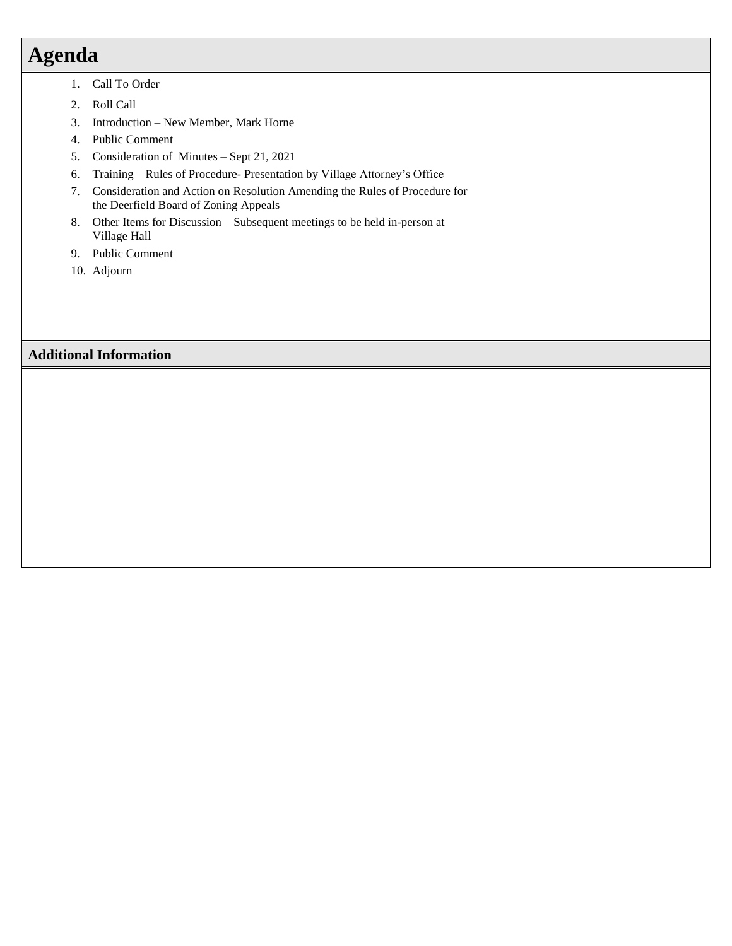# **Agenda**

- 1. Call To Order
- 2. Roll Call
- 3. Introduction New Member, Mark Horne
- 4. Public Comment
- 5. Consideration of Minutes Sept 21, 2021
- 6. Training Rules of Procedure- Presentation by Village Attorney's Office
- 7. Consideration and Action on Resolution Amending the Rules of Procedure for the Deerfield Board of Zoning Appeals
- 8. Other Items for Discussion Subsequent meetings to be held in-person at Village Hall
- 9. Public Comment
- 10. Adjourn

# **Additional Information**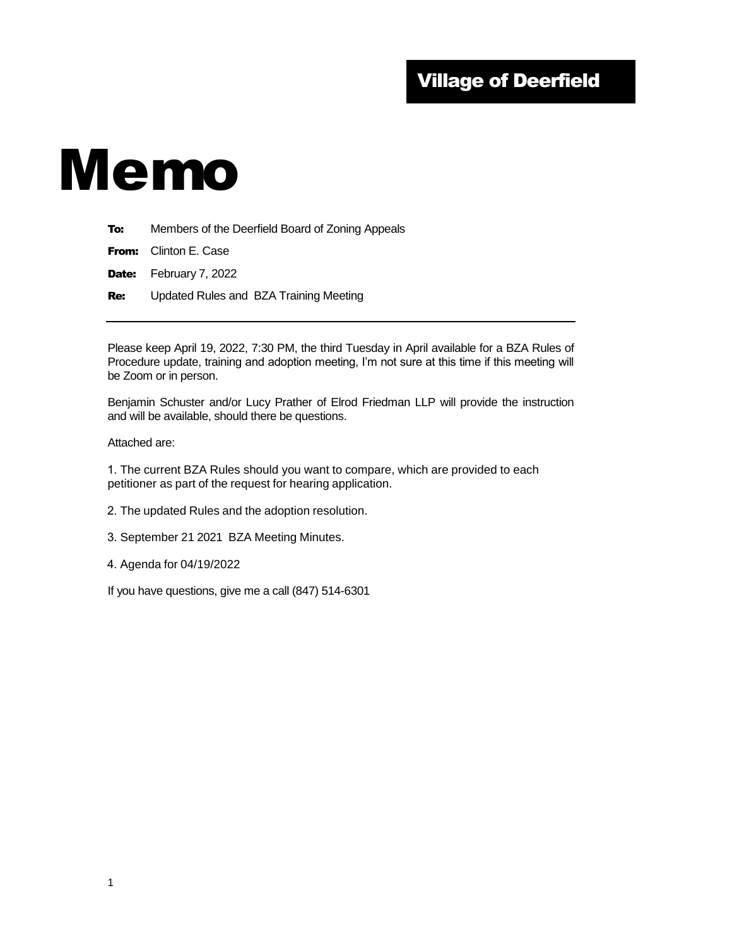# Village of Deerfield

# Memo

To: Members of the Deerfield Board of Zoning Appeals

| <b>From:</b> Clinton E. Case  |
|-------------------------------|
| <b>Date:</b> February 7, 2022 |

**Re:** Updated Rules and BZA Training Meeting

Please keep April 19, 2022, 7:30 PM, the third Tuesday in April available for a BZA Rules of Procedure update, training and adoption meeting, I'm not sure at this time if this meeting will be Zoom or in person.

Benjamin Schuster and/or Lucy Prather of Elrod Friedman LLP will provide the instruction and will be available, should there be questions.

Attached are:

1. The current BZA Rules should you want to compare, which are provided to each petitioner as part of the request for hearing application.

2. The updated Rules and the adoption resolution.

3. September 21 2021 BZA Meeting Minutes.

4. Agenda for 04/19/2022

If you have questions, give me a call (847) 514-6301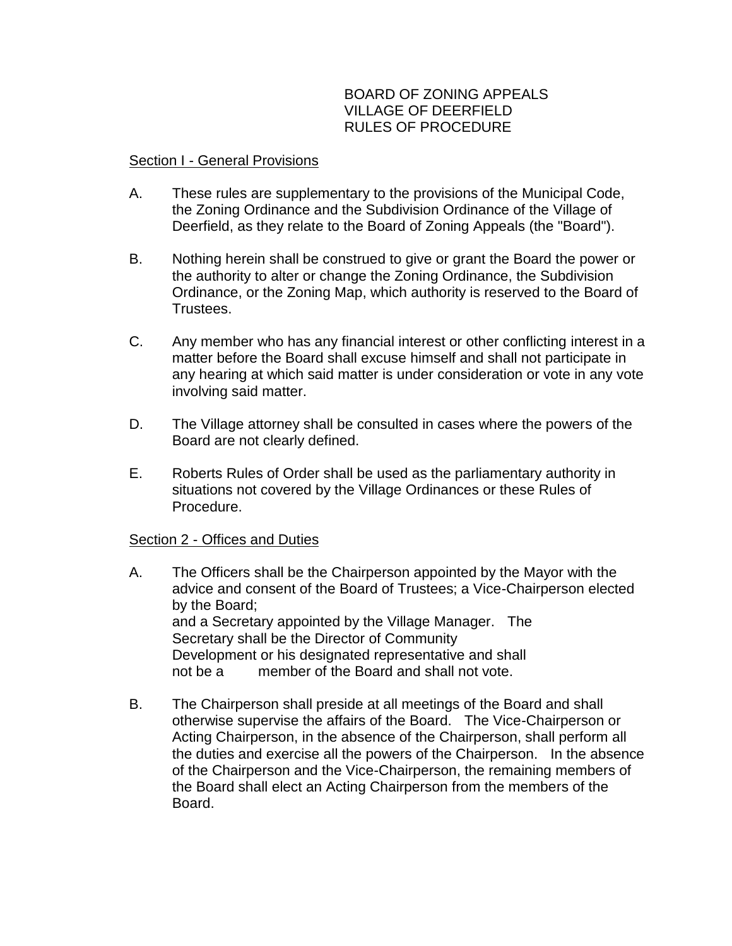# BOARD OF ZONING APPEALS VILLAGE OF DEERFIELD RULES OF PROCEDURE

## Section I - General Provisions

- A. These rules are supplementary to the provisions of the Municipal Code, the Zoning Ordinance and the Subdivision Ordinance of the Village of Deerfield, as they relate to the Board of Zoning Appeals (the "Board").
- B. Nothing herein shall be construed to give or grant the Board the power or the authority to alter or change the Zoning Ordinance, the Subdivision Ordinance, or the Zoning Map, which authority is reserved to the Board of Trustees.
- C. Any member who has any financial interest or other conflicting interest in a matter before the Board shall excuse himself and shall not participate in any hearing at which said matter is under consideration or vote in any vote involving said matter.
- D. The Village attorney shall be consulted in cases where the powers of the Board are not clearly defined.
- E. Roberts Rules of Order shall be used as the parliamentary authority in situations not covered by the Village Ordinances or these Rules of Procedure.

## Section 2 - Offices and Duties

- A. The Officers shall be the Chairperson appointed by the Mayor with the advice and consent of the Board of Trustees; a Vice-Chairperson elected by the Board; and a Secretary appointed by the Village Manager. The Secretary shall be the Director of Community Development or his designated representative and shall not be a member of the Board and shall not vote.
- B. The Chairperson shall preside at all meetings of the Board and shall otherwise supervise the affairs of the Board. The Vice-Chairperson or Acting Chairperson, in the absence of the Chairperson, shall perform all the duties and exercise all the powers of the Chairperson. In the absence of the Chairperson and the Vice-Chairperson, the remaining members of the Board shall elect an Acting Chairperson from the members of the Board.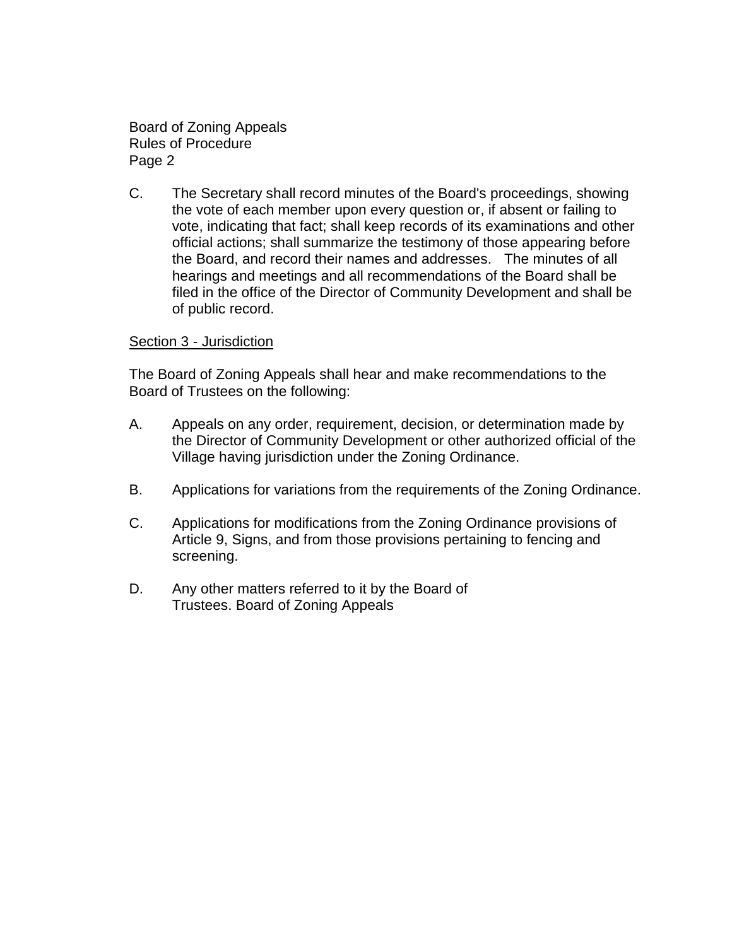Board of Zoning Appeals Rules of Procedure Page 2

C. The Secretary shall record minutes of the Board's proceedings, showing the vote of each member upon every question or, if absent or failing to vote, indicating that fact; shall keep records of its examinations and other official actions; shall summarize the testimony of those appearing before the Board, and record their names and addresses. The minutes of all hearings and meetings and all recommendations of the Board shall be filed in the office of the Director of Community Development and shall be of public record.

#### Section 3 - Jurisdiction

The Board of Zoning Appeals shall hear and make recommendations to the Board of Trustees on the following:

- A. Appeals on any order, requirement, decision, or determination made by the Director of Community Development or other authorized official of the Village having jurisdiction under the Zoning Ordinance.
- B. Applications for variations from the requirements of the Zoning Ordinance.
- C. Applications for modifications from the Zoning Ordinance provisions of Article 9, Signs, and from those provisions pertaining to fencing and screening.
- D. Any other matters referred to it by the Board of Trustees. Board of Zoning Appeals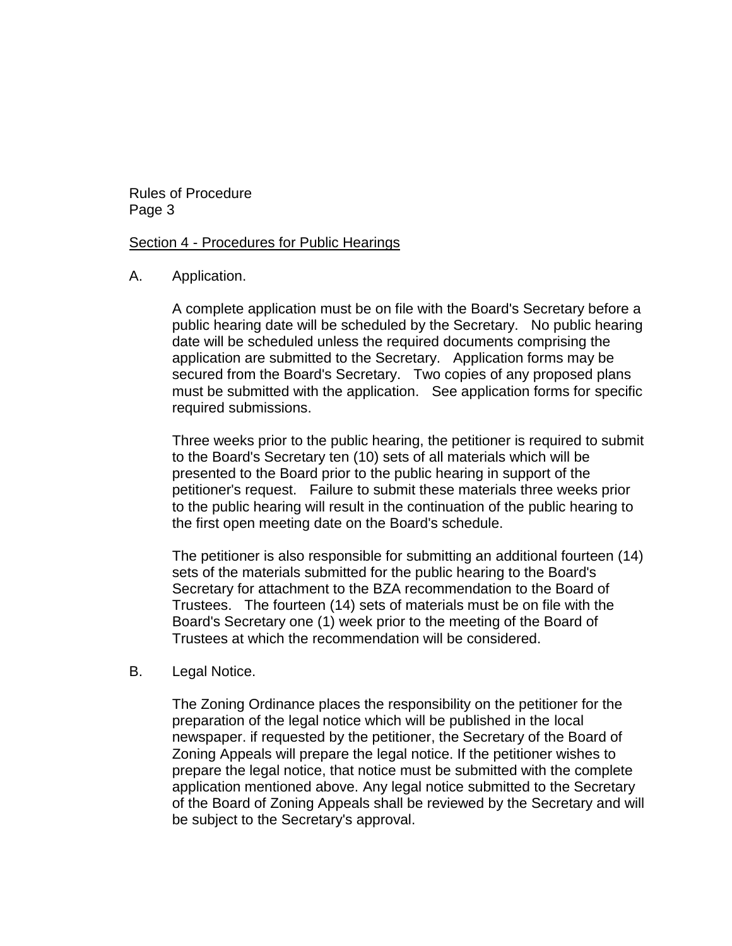Rules of Procedure Page 3

Section 4 - Procedures for Public Hearings

A. Application.

A complete application must be on file with the Board's Secretary before a public hearing date will be scheduled by the Secretary. No public hearing date will be scheduled unless the required documents comprising the application are submitted to the Secretary. Application forms may be secured from the Board's Secretary. Two copies of any proposed plans must be submitted with the application. See application forms for specific required submissions.

Three weeks prior to the public hearing, the petitioner is required to submit to the Board's Secretary ten (10) sets of all materials which will be presented to the Board prior to the public hearing in support of the petitioner's request. Failure to submit these materials three weeks prior to the public hearing will result in the continuation of the public hearing to the first open meeting date on the Board's schedule.

The petitioner is also responsible for submitting an additional fourteen (14) sets of the materials submitted for the public hearing to the Board's Secretary for attachment to the BZA recommendation to the Board of Trustees. The fourteen (14) sets of materials must be on file with the Board's Secretary one (1) week prior to the meeting of the Board of Trustees at which the recommendation will be considered.

B. Legal Notice.

The Zoning Ordinance places the responsibility on the petitioner for the preparation of the legal notice which will be published in the local newspaper. if requested by the petitioner, the Secretary of the Board of Zoning Appeals will prepare the legal notice. If the petitioner wishes to prepare the legal notice, that notice must be submitted with the complete application mentioned above. Any legal notice submitted to the Secretary of the Board of Zoning Appeals shall be reviewed by the Secretary and will be subject to the Secretary's approval.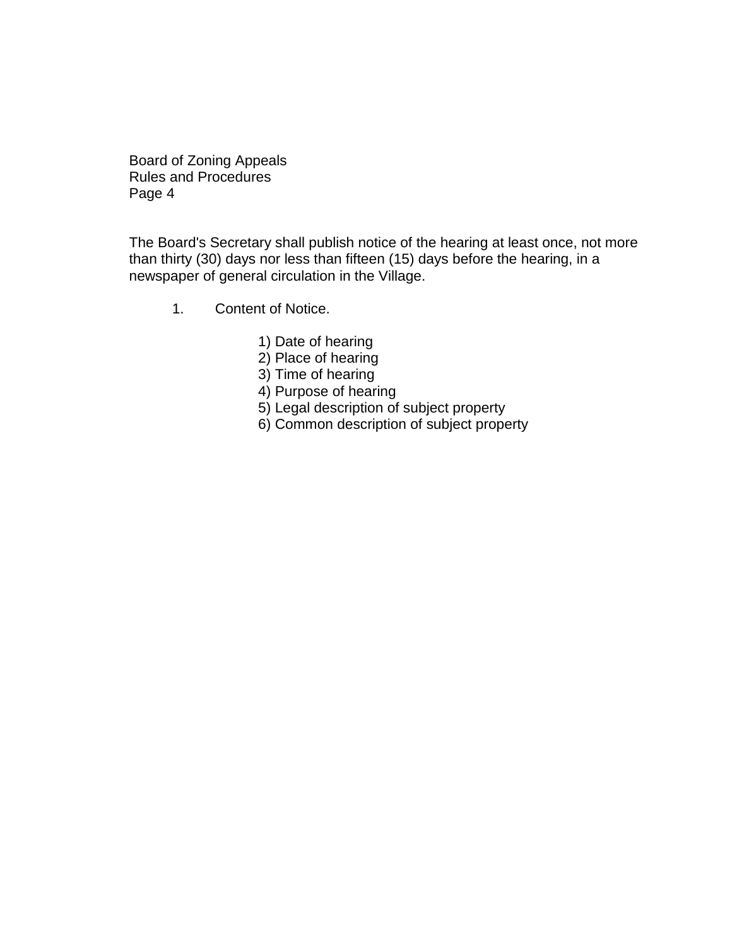Board of Zoning Appeals Rules and Procedures Page 4

The Board's Secretary shall publish notice of the hearing at least once, not more than thirty (30) days nor less than fifteen (15) days before the hearing, in a newspaper of general circulation in the Village.

- 1. Content of Notice.
	- 1) Date of hearing
	- 2) Place of hearing
	- 3) Time of hearing
	- 4) Purpose of hearing
	- 5) Legal description of subject property
	- 6) Common description of subject property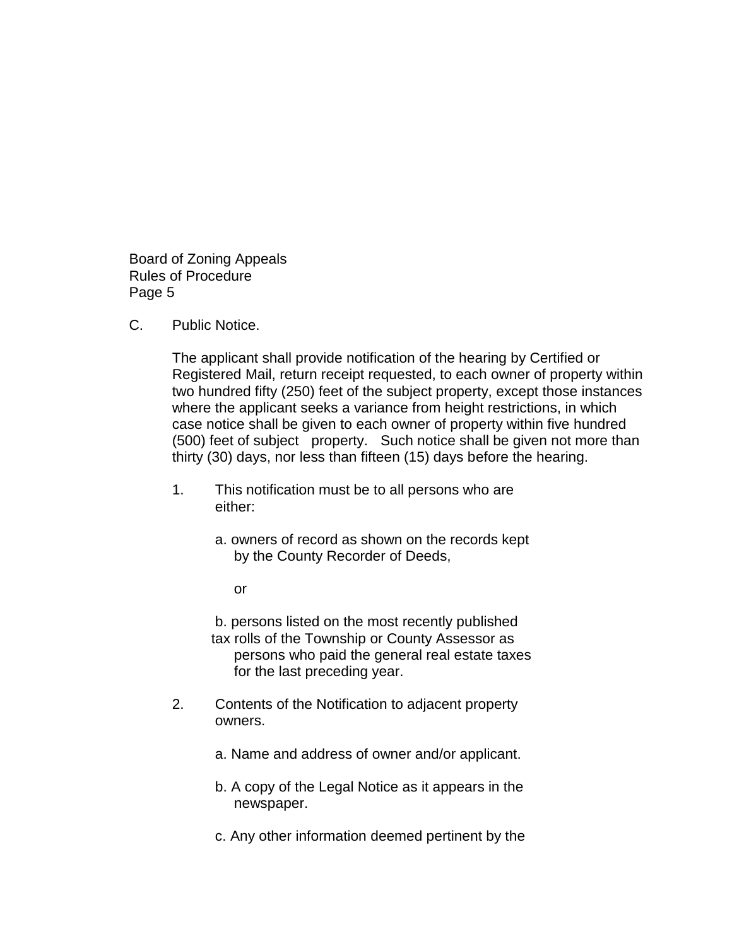Board of Zoning Appeals Rules of Procedure Page 5

C. Public Notice.

The applicant shall provide notification of the hearing by Certified or Registered Mail, return receipt requested, to each owner of property within two hundred fifty (250) feet of the subject property, except those instances where the applicant seeks a variance from height restrictions, in which case notice shall be given to each owner of property within five hundred (500) feet of subject property. Such notice shall be given not more than thirty (30) days, nor less than fifteen (15) days before the hearing.

- 1. This notification must be to all persons who are either:
	- a. owners of record as shown on the records kept by the County Recorder of Deeds,

or

b. persons listed on the most recently published tax rolls of the Township or County Assessor as persons who paid the general real estate taxes for the last preceding year.

- 2. Contents of the Notification to adjacent property owners.
	- a. Name and address of owner and/or applicant.
	- b. A copy of the Legal Notice as it appears in the newspaper.
	- c. Any other information deemed pertinent by the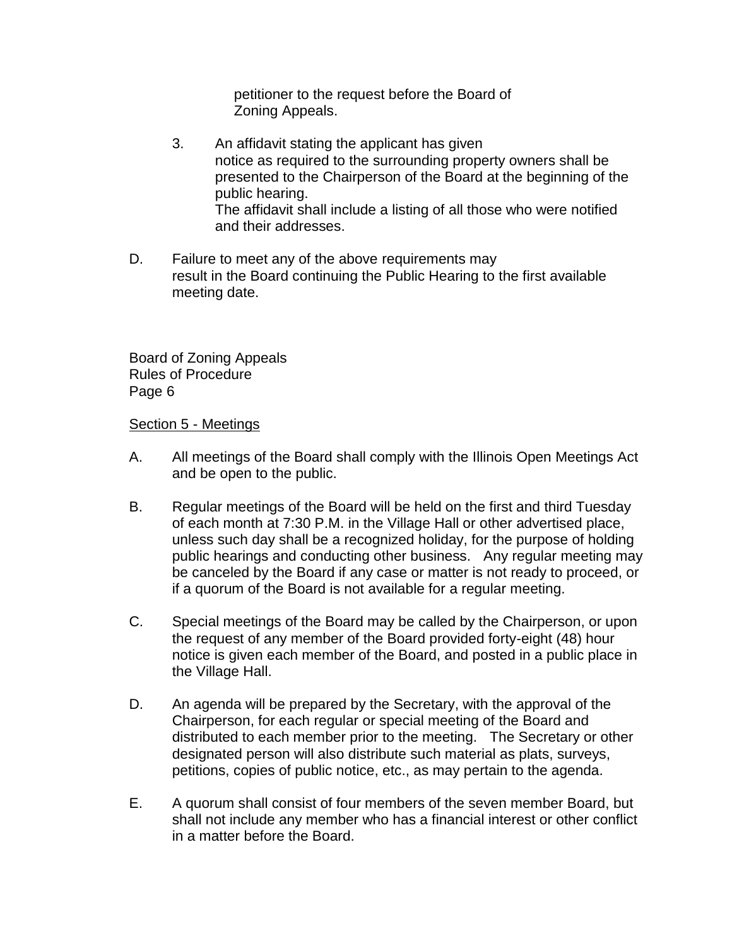petitioner to the request before the Board of Zoning Appeals.

- 3. An affidavit stating the applicant has given notice as required to the surrounding property owners shall be presented to the Chairperson of the Board at the beginning of the public hearing. The affidavit shall include a listing of all those who were notified and their addresses.
- D. Failure to meet any of the above requirements may result in the Board continuing the Public Hearing to the first available meeting date.

Board of Zoning Appeals Rules of Procedure Page 6

#### Section 5 - Meetings

- A. All meetings of the Board shall comply with the Illinois Open Meetings Act and be open to the public.
- B. Regular meetings of the Board will be held on the first and third Tuesday of each month at 7:30 P.M. in the Village Hall or other advertised place, unless such day shall be a recognized holiday, for the purpose of holding public hearings and conducting other business. Any regular meeting may be canceled by the Board if any case or matter is not ready to proceed, or if a quorum of the Board is not available for a regular meeting.
- C. Special meetings of the Board may be called by the Chairperson, or upon the request of any member of the Board provided forty-eight (48) hour notice is given each member of the Board, and posted in a public place in the Village Hall.
- D. An agenda will be prepared by the Secretary, with the approval of the Chairperson, for each regular or special meeting of the Board and distributed to each member prior to the meeting. The Secretary or other designated person will also distribute such material as plats, surveys, petitions, copies of public notice, etc., as may pertain to the agenda.
- E. A quorum shall consist of four members of the seven member Board, but shall not include any member who has a financial interest or other conflict in a matter before the Board.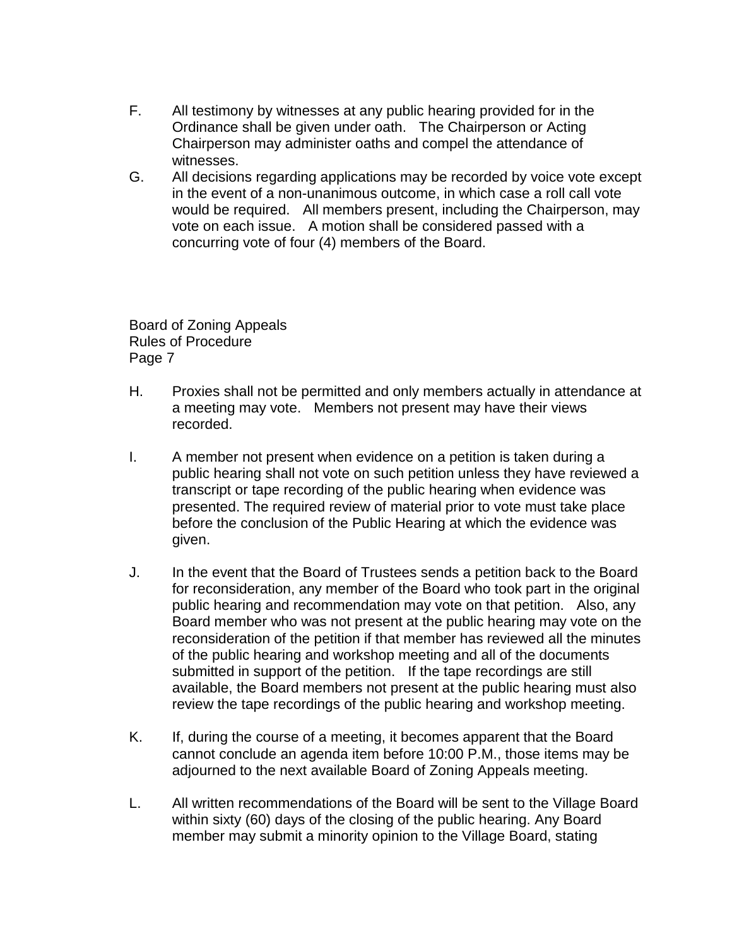- F. All testimony by witnesses at any public hearing provided for in the Ordinance shall be given under oath. The Chairperson or Acting Chairperson may administer oaths and compel the attendance of witnesses.
- G. All decisions regarding applications may be recorded by voice vote except in the event of a non-unanimous outcome, in which case a roll call vote would be required. All members present, including the Chairperson, may vote on each issue. A motion shall be considered passed with a concurring vote of four (4) members of the Board.

Board of Zoning Appeals Rules of Procedure Page 7

- H. Proxies shall not be permitted and only members actually in attendance at a meeting may vote. Members not present may have their views recorded.
- I. A member not present when evidence on a petition is taken during a public hearing shall not vote on such petition unless they have reviewed a transcript or tape recording of the public hearing when evidence was presented. The required review of material prior to vote must take place before the conclusion of the Public Hearing at which the evidence was given.
- J. In the event that the Board of Trustees sends a petition back to the Board for reconsideration, any member of the Board who took part in the original public hearing and recommendation may vote on that petition. Also, any Board member who was not present at the public hearing may vote on the reconsideration of the petition if that member has reviewed all the minutes of the public hearing and workshop meeting and all of the documents submitted in support of the petition. If the tape recordings are still available, the Board members not present at the public hearing must also review the tape recordings of the public hearing and workshop meeting.
- K. If, during the course of a meeting, it becomes apparent that the Board cannot conclude an agenda item before 10:00 P.M., those items may be adjourned to the next available Board of Zoning Appeals meeting.
- L. All written recommendations of the Board will be sent to the Village Board within sixty (60) days of the closing of the public hearing. Any Board member may submit a minority opinion to the Village Board, stating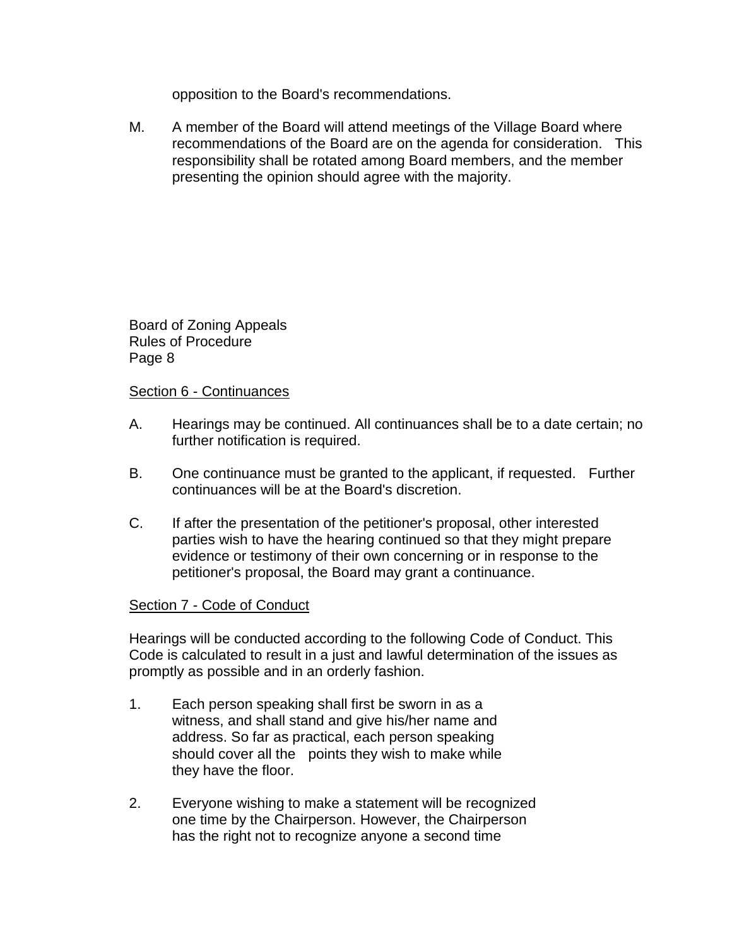opposition to the Board's recommendations.

M. A member of the Board will attend meetings of the Village Board where recommendations of the Board are on the agenda for consideration. This responsibility shall be rotated among Board members, and the member presenting the opinion should agree with the majority.

Board of Zoning Appeals Rules of Procedure Page 8

#### Section 6 - Continuances

- A. Hearings may be continued. All continuances shall be to a date certain; no further notification is required.
- B. One continuance must be granted to the applicant, if requested. Further continuances will be at the Board's discretion.
- C. If after the presentation of the petitioner's proposal, other interested parties wish to have the hearing continued so that they might prepare evidence or testimony of their own concerning or in response to the petitioner's proposal, the Board may grant a continuance.

## Section 7 - Code of Conduct

Hearings will be conducted according to the following Code of Conduct. This Code is calculated to result in a just and lawful determination of the issues as promptly as possible and in an orderly fashion.

- 1. Each person speaking shall first be sworn in as a witness, and shall stand and give his/her name and address. So far as practical, each person speaking should cover all the points they wish to make while they have the floor.
- 2. Everyone wishing to make a statement will be recognized one time by the Chairperson. However, the Chairperson has the right not to recognize anyone a second time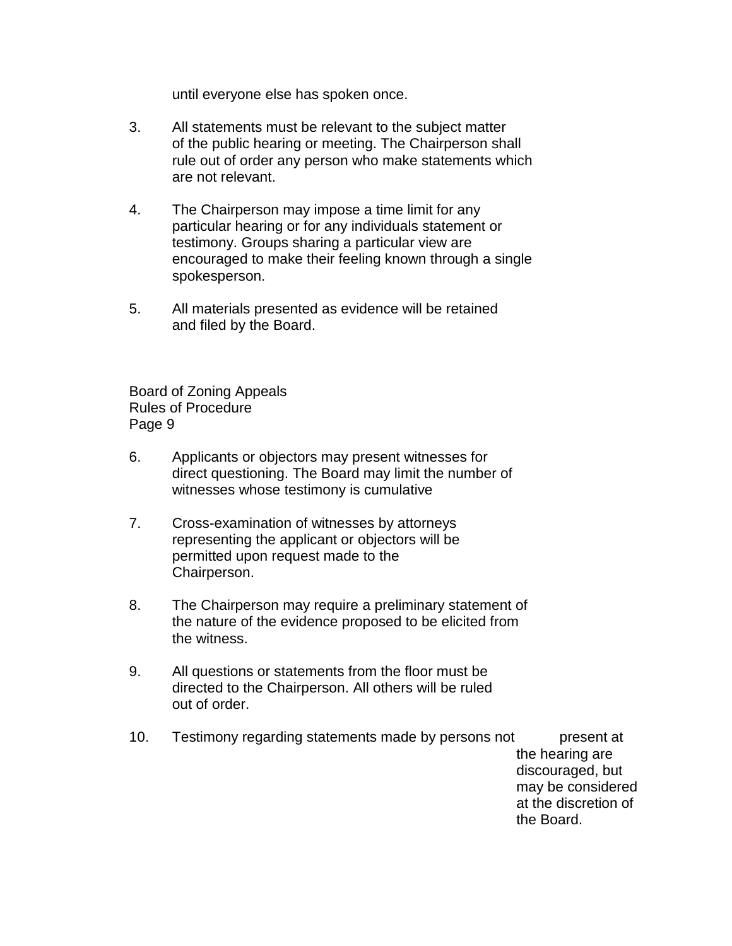until everyone else has spoken once.

- 3. All statements must be relevant to the subject matter of the public hearing or meeting. The Chairperson shall rule out of order any person who make statements which are not relevant.
- 4. The Chairperson may impose a time limit for any particular hearing or for any individuals statement or testimony. Groups sharing a particular view are encouraged to make their feeling known through a single spokesperson.
- 5. All materials presented as evidence will be retained and filed by the Board.

Board of Zoning Appeals Rules of Procedure Page 9

- 6. Applicants or objectors may present witnesses for direct questioning. The Board may limit the number of witnesses whose testimony is cumulative
- 7. Cross-examination of witnesses by attorneys representing the applicant or objectors will be permitted upon request made to the Chairperson.
- 8. The Chairperson may require a preliminary statement of the nature of the evidence proposed to be elicited from the witness.
- 9. All questions or statements from the floor must be directed to the Chairperson. All others will be ruled out of order.
- 10. Testimony regarding statements made by persons not present at the hearing are discouraged, but may be considered at the discretion of the Board.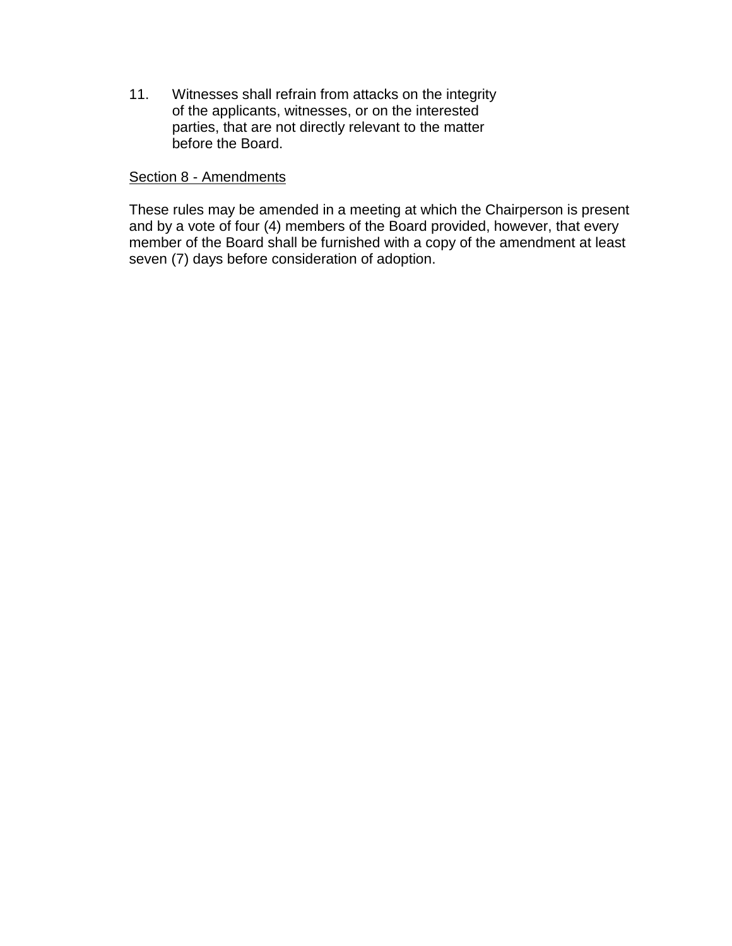11. Witnesses shall refrain from attacks on the integrity of the applicants, witnesses, or on the interested parties, that are not directly relevant to the matter before the Board.

#### Section 8 - Amendments

These rules may be amended in a meeting at which the Chairperson is present and by a vote of four (4) members of the Board provided, however, that every member of the Board shall be furnished with a copy of the amendment at least seven (7) days before consideration of adoption.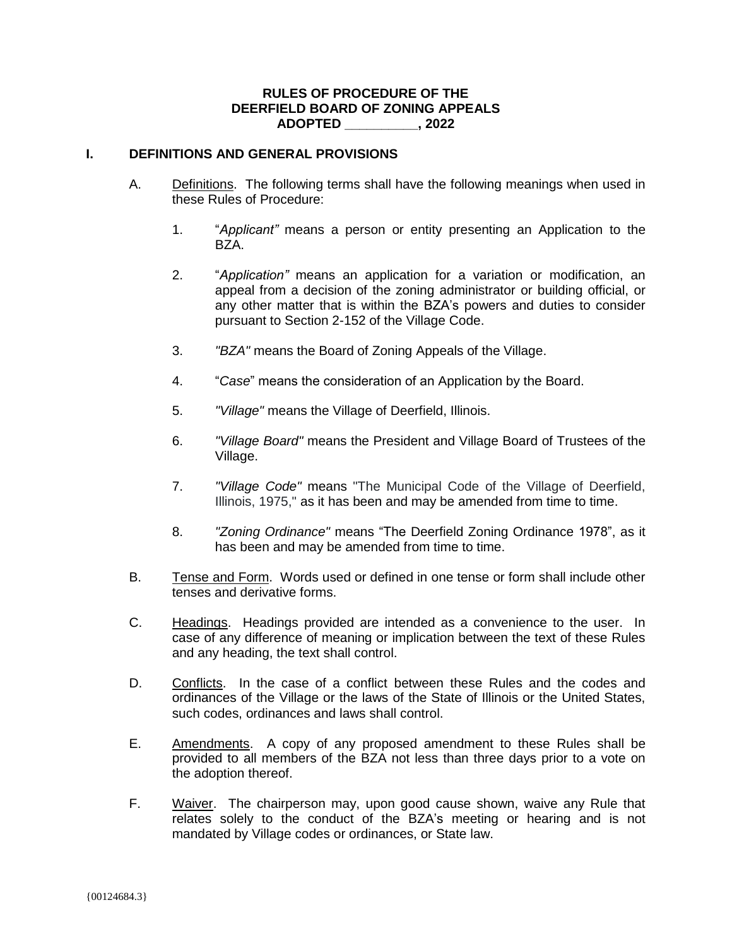#### **RULES OF PROCEDURE OF THE DEERFIELD BOARD OF ZONING APPEALS ADOPTED \_\_\_\_\_\_\_\_\_\_, 2022**

#### **I. DEFINITIONS AND GENERAL PROVISIONS**

- A. Definitions. The following terms shall have the following meanings when used in these Rules of Procedure:
	- 1. "*Applicant"* means a person or entity presenting an Application to the BZA.
	- 2. "*Application"* means an application for a variation or modification, an appeal from a decision of the zoning administrator or building official, or any other matter that is within the BZA's powers and duties to consider pursuant to Section 2-152 of the Village Code.
	- 3. *"BZA"* means the Board of Zoning Appeals of the Village.
	- 4. "*Case*" means the consideration of an Application by the Board.
	- 5. *"Village"* means the Village of Deerfield, Illinois.
	- 6. *"Village Board"* means the President and Village Board of Trustees of the Village.
	- 7. *"Village Code"* means "The Municipal Code of the Village of Deerfield, Illinois, 1975," as it has been and may be amended from time to time.
	- 8. *"Zoning Ordinance"* means "The Deerfield Zoning Ordinance 1978", as it has been and may be amended from time to time.
- B. Tense and Form. Words used or defined in one tense or form shall include other tenses and derivative forms.
- C. Headings. Headings provided are intended as a convenience to the user. In case of any difference of meaning or implication between the text of these Rules and any heading, the text shall control.
- D. Conflicts. In the case of a conflict between these Rules and the codes and ordinances of the Village or the laws of the State of Illinois or the United States, such codes, ordinances and laws shall control.
- E. Amendments. A copy of any proposed amendment to these Rules shall be provided to all members of the BZA not less than three days prior to a vote on the adoption thereof.
- F. Waiver. The chairperson may, upon good cause shown, waive any Rule that relates solely to the conduct of the BZA's meeting or hearing and is not mandated by Village codes or ordinances, or State law.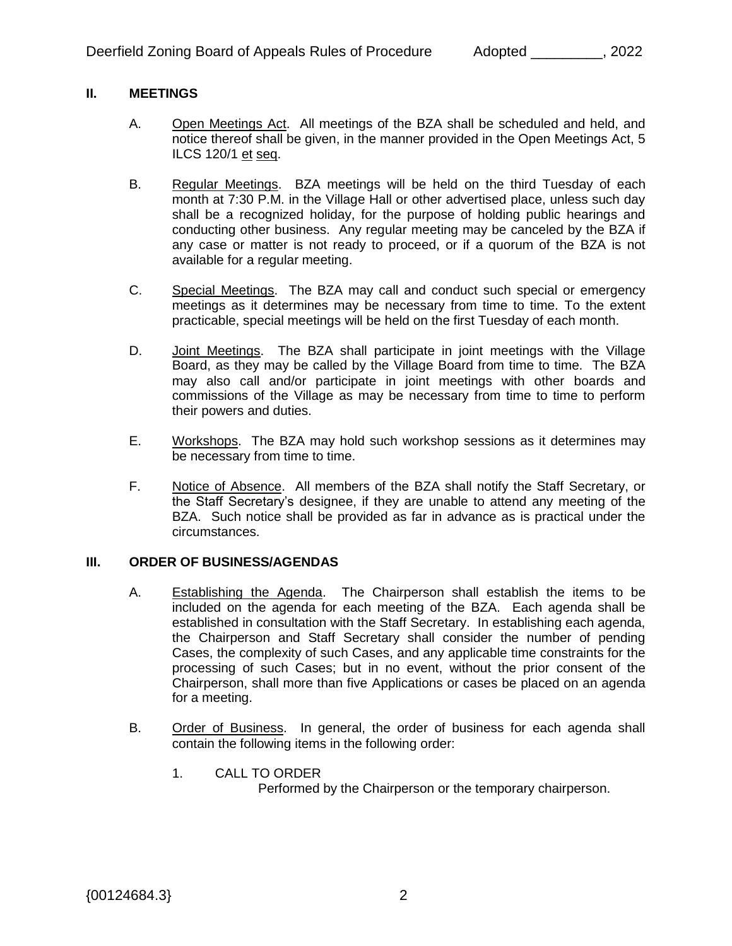#### **II. MEETINGS**

- A. Open Meetings Act. All meetings of the BZA shall be scheduled and held, and notice thereof shall be given, in the manner provided in the Open Meetings Act, 5 ILCS 120/1 et seq.
- B. Regular Meetings. BZA meetings will be held on the third Tuesday of each month at 7:30 P.M. in the Village Hall or other advertised place, unless such day shall be a recognized holiday, for the purpose of holding public hearings and conducting other business. Any regular meeting may be canceled by the BZA if any case or matter is not ready to proceed, or if a quorum of the BZA is not available for a regular meeting.
- C. Special Meetings. The BZA may call and conduct such special or emergency meetings as it determines may be necessary from time to time. To the extent practicable, special meetings will be held on the first Tuesday of each month.
- D. Joint Meetings. The BZA shall participate in joint meetings with the Village Board, as they may be called by the Village Board from time to time. The BZA may also call and/or participate in joint meetings with other boards and commissions of the Village as may be necessary from time to time to perform their powers and duties.
- E. Workshops. The BZA may hold such workshop sessions as it determines may be necessary from time to time.
- F. Notice of Absence. All members of the BZA shall notify the Staff Secretary, or the Staff Secretary's designee, if they are unable to attend any meeting of the BZA. Such notice shall be provided as far in advance as is practical under the circumstances.

#### **III. ORDER OF BUSINESS/AGENDAS**

- A. Establishing the Agenda. The Chairperson shall establish the items to be included on the agenda for each meeting of the BZA. Each agenda shall be established in consultation with the Staff Secretary. In establishing each agenda, the Chairperson and Staff Secretary shall consider the number of pending Cases, the complexity of such Cases, and any applicable time constraints for the processing of such Cases; but in no event, without the prior consent of the Chairperson, shall more than five Applications or cases be placed on an agenda for a meeting.
- B. Order of Business. In general, the order of business for each agenda shall contain the following items in the following order:
	- 1. CALL TO ORDER

Performed by the Chairperson or the temporary chairperson.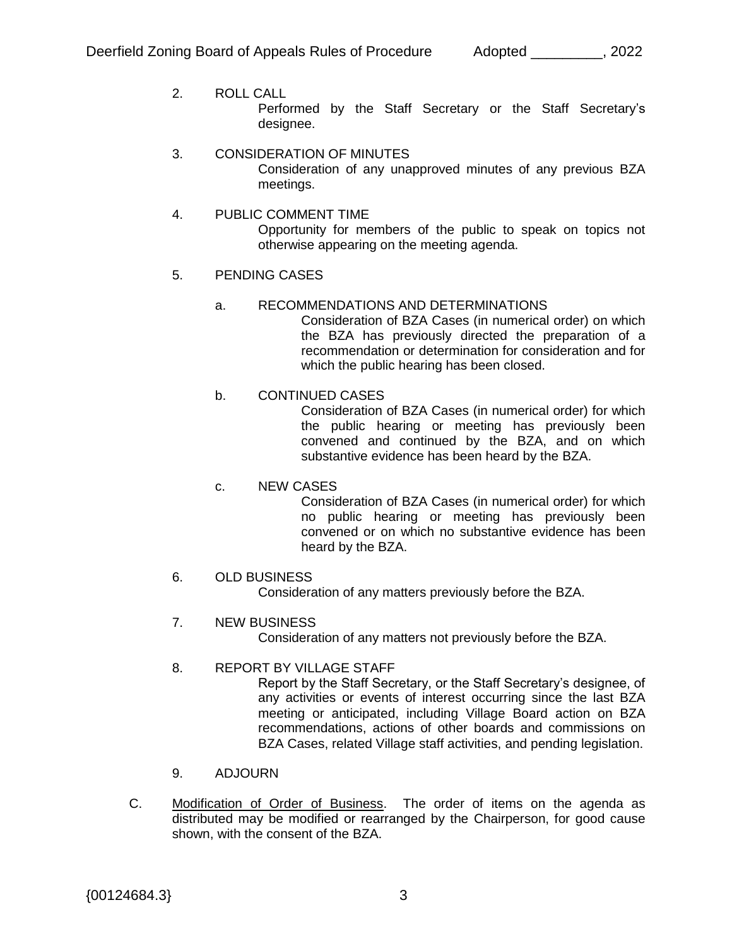- 2. ROLL CALL Performed by the Staff Secretary or the Staff Secretary's designee.
- 3. CONSIDERATION OF MINUTES Consideration of any unapproved minutes of any previous BZA meetings.
- 4. PUBLIC COMMENT TIME Opportunity for members of the public to speak on topics not otherwise appearing on the meeting agenda.

## 5. PENDING CASES

## a. RECOMMENDATIONS AND DETERMINATIONS

Consideration of BZA Cases (in numerical order) on which the BZA has previously directed the preparation of a recommendation or determination for consideration and for which the public hearing has been closed.

## b. CONTINUED CASES

Consideration of BZA Cases (in numerical order) for which the public hearing or meeting has previously been convened and continued by the BZA, and on which substantive evidence has been heard by the BZA.

## c. NEW CASES

Consideration of BZA Cases (in numerical order) for which no public hearing or meeting has previously been convened or on which no substantive evidence has been heard by the BZA.

# 6. OLD BUSINESS

Consideration of any matters previously before the BZA.

# 7. NEW BUSINESS

Consideration of any matters not previously before the BZA.

## 8. REPORT BY VILLAGE STAFF

Report by the Staff Secretary, or the Staff Secretary's designee, of any activities or events of interest occurring since the last BZA meeting or anticipated, including Village Board action on BZA recommendations, actions of other boards and commissions on BZA Cases, related Village staff activities, and pending legislation.

## 9. ADJOURN

C. Modification of Order of Business. The order of items on the agenda as distributed may be modified or rearranged by the Chairperson, for good cause shown, with the consent of the BZA.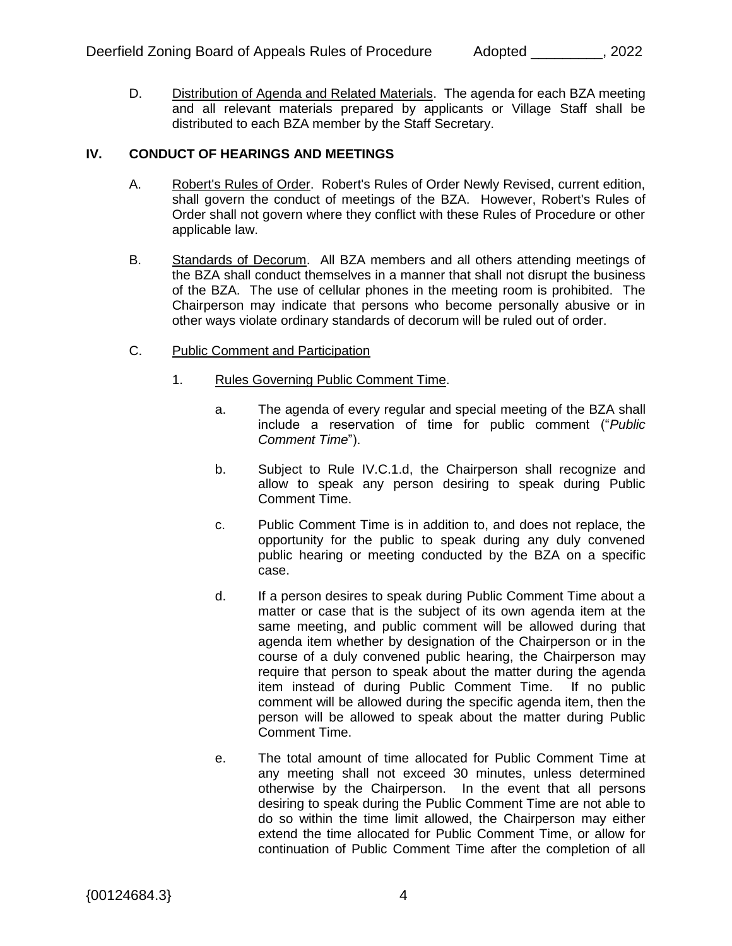D. Distribution of Agenda and Related Materials. The agenda for each BZA meeting and all relevant materials prepared by applicants or Village Staff shall be distributed to each BZA member by the Staff Secretary.

#### **IV. CONDUCT OF HEARINGS AND MEETINGS**

- A. Robert's Rules of Order. Robert's Rules of Order Newly Revised, current edition, shall govern the conduct of meetings of the BZA. However, Robert's Rules of Order shall not govern where they conflict with these Rules of Procedure or other applicable law.
- B. Standards of Decorum. All BZA members and all others attending meetings of the BZA shall conduct themselves in a manner that shall not disrupt the business of the BZA. The use of cellular phones in the meeting room is prohibited. The Chairperson may indicate that persons who become personally abusive or in other ways violate ordinary standards of decorum will be ruled out of order.
- C. Public Comment and Participation
	- 1. Rules Governing Public Comment Time.
		- a. The agenda of every regular and special meeting of the BZA shall include a reservation of time for public comment ("*Public Comment Time*").
		- b. Subject to Rule IV.C.1.d, the Chairperson shall recognize and allow to speak any person desiring to speak during Public Comment Time.
		- c. Public Comment Time is in addition to, and does not replace, the opportunity for the public to speak during any duly convened public hearing or meeting conducted by the BZA on a specific case.
		- d. If a person desires to speak during Public Comment Time about a matter or case that is the subject of its own agenda item at the same meeting, and public comment will be allowed during that agenda item whether by designation of the Chairperson or in the course of a duly convened public hearing, the Chairperson may require that person to speak about the matter during the agenda item instead of during Public Comment Time. If no public comment will be allowed during the specific agenda item, then the person will be allowed to speak about the matter during Public Comment Time.
		- e. The total amount of time allocated for Public Comment Time at any meeting shall not exceed 30 minutes, unless determined otherwise by the Chairperson. In the event that all persons desiring to speak during the Public Comment Time are not able to do so within the time limit allowed, the Chairperson may either extend the time allocated for Public Comment Time, or allow for continuation of Public Comment Time after the completion of all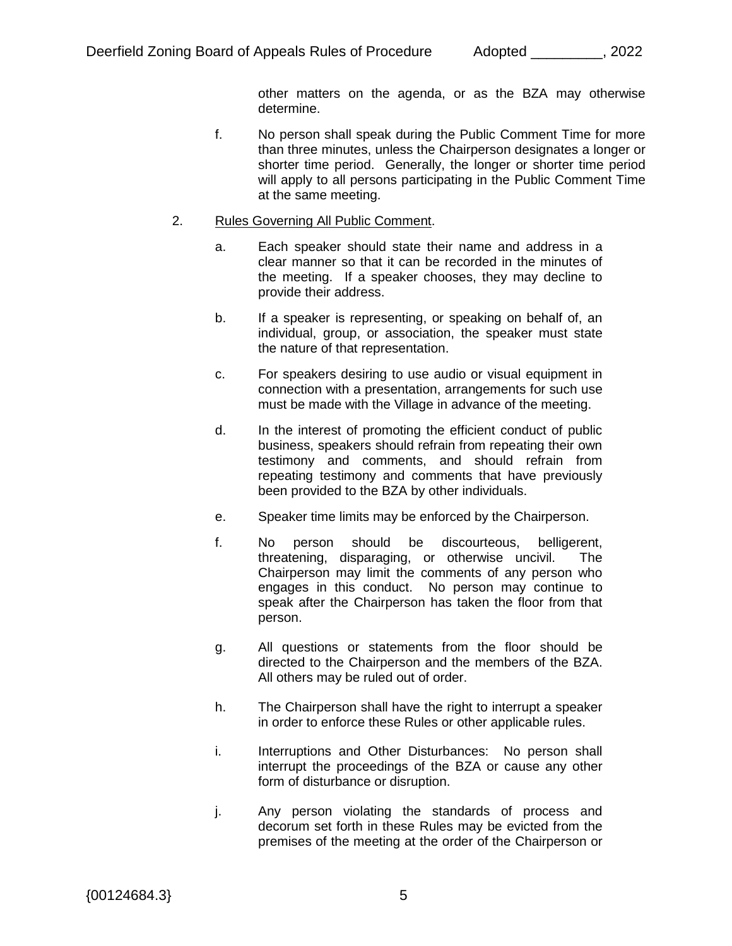other matters on the agenda, or as the BZA may otherwise determine.

- f. No person shall speak during the Public Comment Time for more than three minutes, unless the Chairperson designates a longer or shorter time period. Generally, the longer or shorter time period will apply to all persons participating in the Public Comment Time at the same meeting.
- 2. Rules Governing All Public Comment.
	- a. Each speaker should state their name and address in a clear manner so that it can be recorded in the minutes of the meeting. If a speaker chooses, they may decline to provide their address.
	- b. If a speaker is representing, or speaking on behalf of, an individual, group, or association, the speaker must state the nature of that representation.
	- c. For speakers desiring to use audio or visual equipment in connection with a presentation, arrangements for such use must be made with the Village in advance of the meeting.
	- d. In the interest of promoting the efficient conduct of public business, speakers should refrain from repeating their own testimony and comments, and should refrain from repeating testimony and comments that have previously been provided to the BZA by other individuals.
	- e. Speaker time limits may be enforced by the Chairperson.
	- f. No person should be discourteous, belligerent, threatening, disparaging, or otherwise uncivil. The Chairperson may limit the comments of any person who engages in this conduct. No person may continue to speak after the Chairperson has taken the floor from that person.
	- g. All questions or statements from the floor should be directed to the Chairperson and the members of the BZA. All others may be ruled out of order.
	- h. The Chairperson shall have the right to interrupt a speaker in order to enforce these Rules or other applicable rules.
	- i. Interruptions and Other Disturbances: No person shall interrupt the proceedings of the BZA or cause any other form of disturbance or disruption.
	- j. Any person violating the standards of process and decorum set forth in these Rules may be evicted from the premises of the meeting at the order of the Chairperson or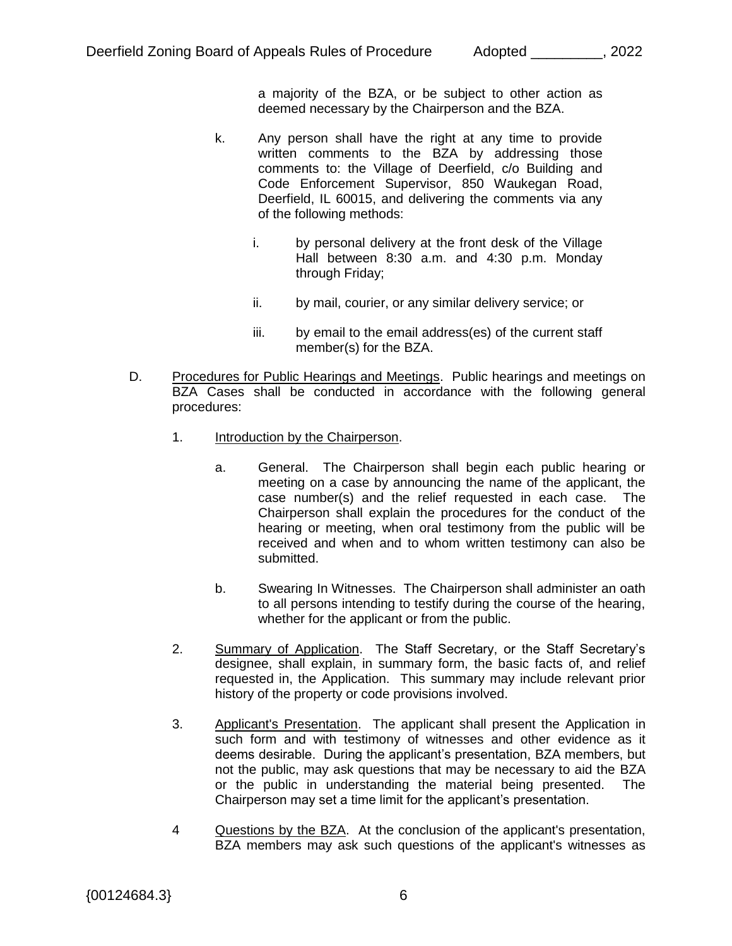a majority of the BZA, or be subject to other action as deemed necessary by the Chairperson and the BZA.

- k. Any person shall have the right at any time to provide written comments to the BZA by addressing those comments to: the Village of Deerfield, c/o Building and Code Enforcement Supervisor, 850 Waukegan Road, Deerfield, IL 60015, and delivering the comments via any of the following methods:
	- i. by personal delivery at the front desk of the Village Hall between 8:30 a.m. and 4:30 p.m. Monday through Friday;
	- ii. by mail, courier, or any similar delivery service; or
	- iii. by email to the email address(es) of the current staff member(s) for the BZA.
- D. Procedures for Public Hearings and Meetings. Public hearings and meetings on BZA Cases shall be conducted in accordance with the following general procedures:
	- 1. Introduction by the Chairperson.
		- a. General. The Chairperson shall begin each public hearing or meeting on a case by announcing the name of the applicant, the case number(s) and the relief requested in each case. The Chairperson shall explain the procedures for the conduct of the hearing or meeting, when oral testimony from the public will be received and when and to whom written testimony can also be submitted.
		- b. Swearing In Witnesses. The Chairperson shall administer an oath to all persons intending to testify during the course of the hearing, whether for the applicant or from the public.
	- 2. Summary of Application. The Staff Secretary, or the Staff Secretary's designee, shall explain, in summary form, the basic facts of, and relief requested in, the Application. This summary may include relevant prior history of the property or code provisions involved.
	- 3. Applicant's Presentation. The applicant shall present the Application in such form and with testimony of witnesses and other evidence as it deems desirable. During the applicant's presentation, BZA members, but not the public, may ask questions that may be necessary to aid the BZA or the public in understanding the material being presented. The Chairperson may set a time limit for the applicant's presentation.
	- 4 Questions by the BZA. At the conclusion of the applicant's presentation, BZA members may ask such questions of the applicant's witnesses as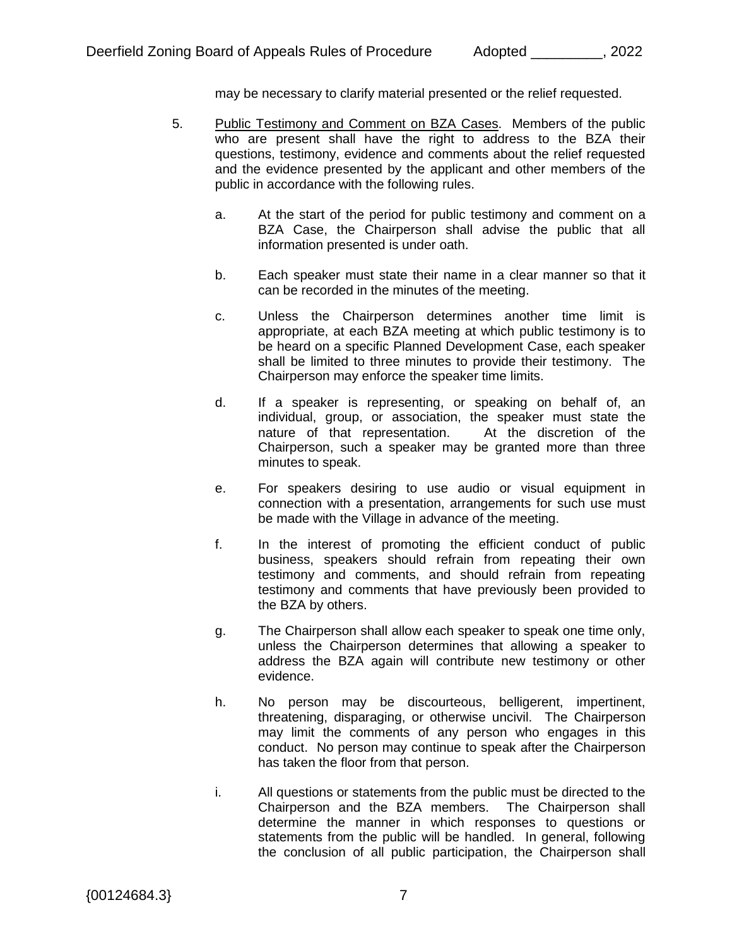may be necessary to clarify material presented or the relief requested.

- 5. Public Testimony and Comment on BZA Cases. Members of the public who are present shall have the right to address to the BZA their questions, testimony, evidence and comments about the relief requested and the evidence presented by the applicant and other members of the public in accordance with the following rules.
	- a. At the start of the period for public testimony and comment on a BZA Case, the Chairperson shall advise the public that all information presented is under oath.
	- b. Each speaker must state their name in a clear manner so that it can be recorded in the minutes of the meeting.
	- c. Unless the Chairperson determines another time limit is appropriate, at each BZA meeting at which public testimony is to be heard on a specific Planned Development Case, each speaker shall be limited to three minutes to provide their testimony. The Chairperson may enforce the speaker time limits.
	- d. If a speaker is representing, or speaking on behalf of, an individual, group, or association, the speaker must state the nature of that representation. At the discretion of the Chairperson, such a speaker may be granted more than three minutes to speak.
	- e. For speakers desiring to use audio or visual equipment in connection with a presentation, arrangements for such use must be made with the Village in advance of the meeting.
	- f. In the interest of promoting the efficient conduct of public business, speakers should refrain from repeating their own testimony and comments, and should refrain from repeating testimony and comments that have previously been provided to the BZA by others.
	- g. The Chairperson shall allow each speaker to speak one time only, unless the Chairperson determines that allowing a speaker to address the BZA again will contribute new testimony or other evidence.
	- h. No person may be discourteous, belligerent, impertinent, threatening, disparaging, or otherwise uncivil. The Chairperson may limit the comments of any person who engages in this conduct. No person may continue to speak after the Chairperson has taken the floor from that person.
	- i. All questions or statements from the public must be directed to the Chairperson and the BZA members. The Chairperson shall determine the manner in which responses to questions or statements from the public will be handled. In general, following the conclusion of all public participation, the Chairperson shall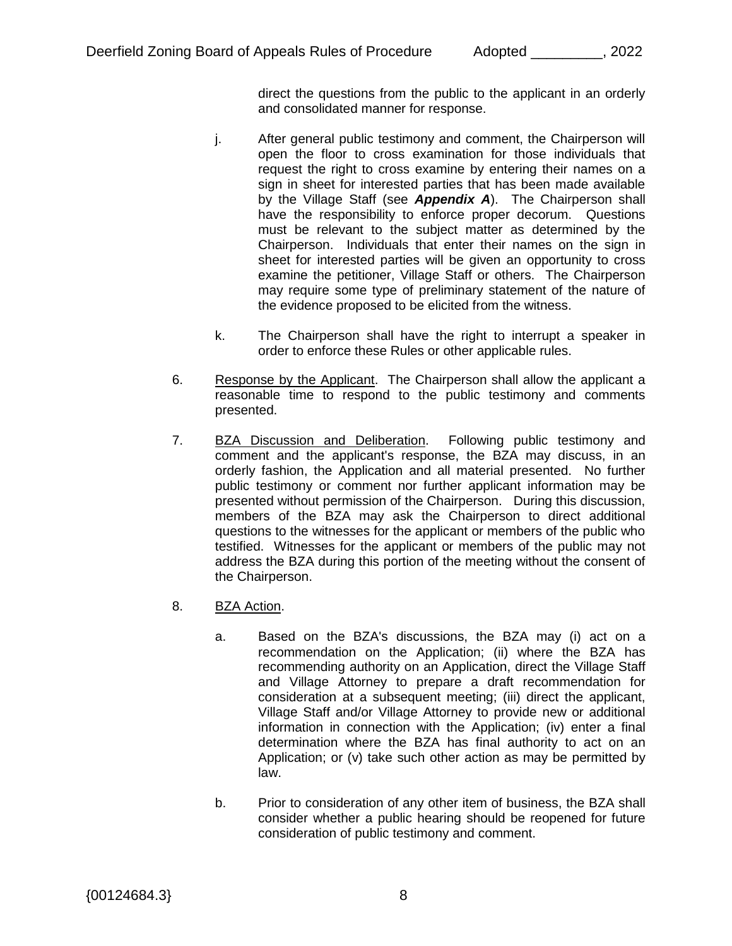direct the questions from the public to the applicant in an orderly and consolidated manner for response.

- j. After general public testimony and comment, the Chairperson will open the floor to cross examination for those individuals that request the right to cross examine by entering their names on a sign in sheet for interested parties that has been made available by the Village Staff (see *Appendix A*). The Chairperson shall have the responsibility to enforce proper decorum. Questions must be relevant to the subject matter as determined by the Chairperson. Individuals that enter their names on the sign in sheet for interested parties will be given an opportunity to cross examine the petitioner, Village Staff or others. The Chairperson may require some type of preliminary statement of the nature of the evidence proposed to be elicited from the witness.
- k. The Chairperson shall have the right to interrupt a speaker in order to enforce these Rules or other applicable rules.
- 6. Response by the Applicant. The Chairperson shall allow the applicant a reasonable time to respond to the public testimony and comments presented.
- 7. BZA Discussion and Deliberation. Following public testimony and comment and the applicant's response, the BZA may discuss, in an orderly fashion, the Application and all material presented. No further public testimony or comment nor further applicant information may be presented without permission of the Chairperson. During this discussion, members of the BZA may ask the Chairperson to direct additional questions to the witnesses for the applicant or members of the public who testified. Witnesses for the applicant or members of the public may not address the BZA during this portion of the meeting without the consent of the Chairperson.
- 8. BZA Action.
	- a. Based on the BZA's discussions, the BZA may (i) act on a recommendation on the Application; (ii) where the BZA has recommending authority on an Application, direct the Village Staff and Village Attorney to prepare a draft recommendation for consideration at a subsequent meeting; (iii) direct the applicant, Village Staff and/or Village Attorney to provide new or additional information in connection with the Application; (iv) enter a final determination where the BZA has final authority to act on an Application; or (v) take such other action as may be permitted by law.
	- b. Prior to consideration of any other item of business, the BZA shall consider whether a public hearing should be reopened for future consideration of public testimony and comment.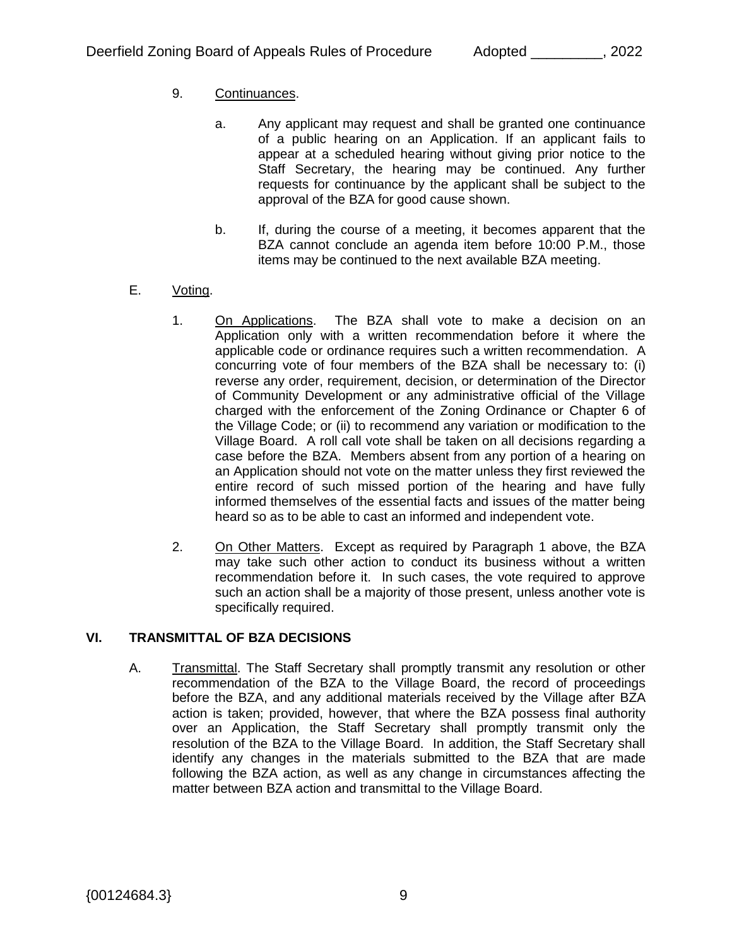# 9. Continuances.

- a. Any applicant may request and shall be granted one continuance of a public hearing on an Application. If an applicant fails to appear at a scheduled hearing without giving prior notice to the Staff Secretary, the hearing may be continued. Any further requests for continuance by the applicant shall be subject to the approval of the BZA for good cause shown.
- b. If, during the course of a meeting, it becomes apparent that the BZA cannot conclude an agenda item before 10:00 P.M., those items may be continued to the next available BZA meeting.
- E. Voting.
	- 1. On Applications. The BZA shall vote to make a decision on an Application only with a written recommendation before it where the applicable code or ordinance requires such a written recommendation. A concurring vote of four members of the BZA shall be necessary to: (i) reverse any order, requirement, decision, or determination of the Director of Community Development or any administrative official of the Village charged with the enforcement of the Zoning Ordinance or Chapter 6 of the Village Code; or (ii) to recommend any variation or modification to the Village Board. A roll call vote shall be taken on all decisions regarding a case before the BZA. Members absent from any portion of a hearing on an Application should not vote on the matter unless they first reviewed the entire record of such missed portion of the hearing and have fully informed themselves of the essential facts and issues of the matter being heard so as to be able to cast an informed and independent vote.
	- 2. On Other Matters. Except as required by Paragraph 1 above, the BZA may take such other action to conduct its business without a written recommendation before it. In such cases, the vote required to approve such an action shall be a majority of those present, unless another vote is specifically required.

## **VI. TRANSMITTAL OF BZA DECISIONS**

A. Transmittal. The Staff Secretary shall promptly transmit any resolution or other recommendation of the BZA to the Village Board, the record of proceedings before the BZA, and any additional materials received by the Village after BZA action is taken; provided, however, that where the BZA possess final authority over an Application, the Staff Secretary shall promptly transmit only the resolution of the BZA to the Village Board. In addition, the Staff Secretary shall identify any changes in the materials submitted to the BZA that are made following the BZA action, as well as any change in circumstances affecting the matter between BZA action and transmittal to the Village Board.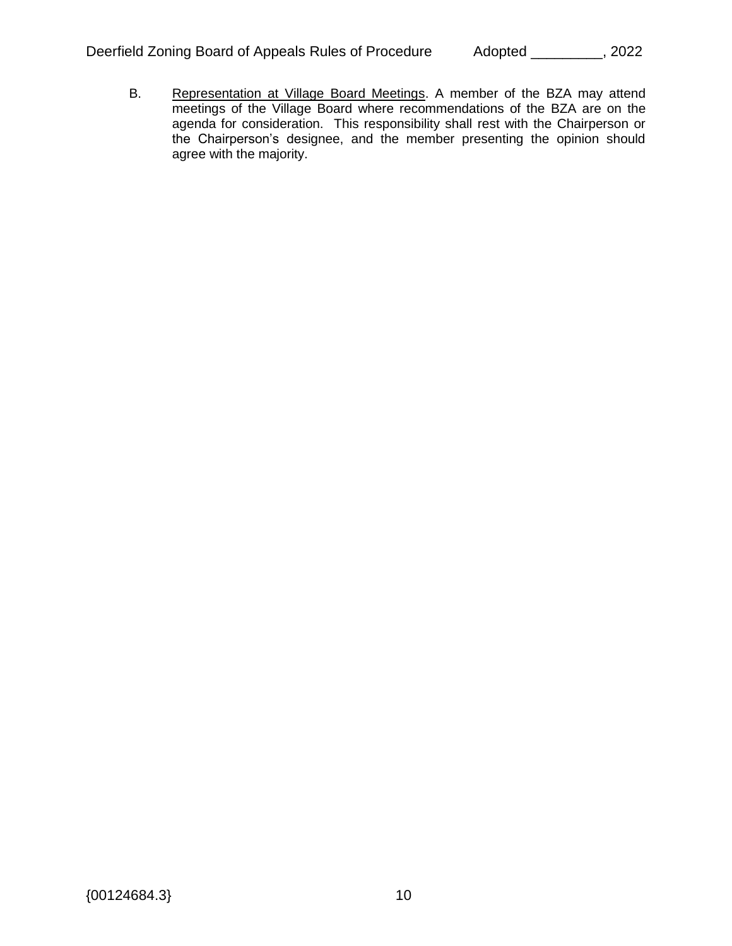B. Representation at Village Board Meetings. A member of the BZA may attend meetings of the Village Board where recommendations of the BZA are on the agenda for consideration. This responsibility shall rest with the Chairperson or the Chairperson's designee, and the member presenting the opinion should agree with the majority.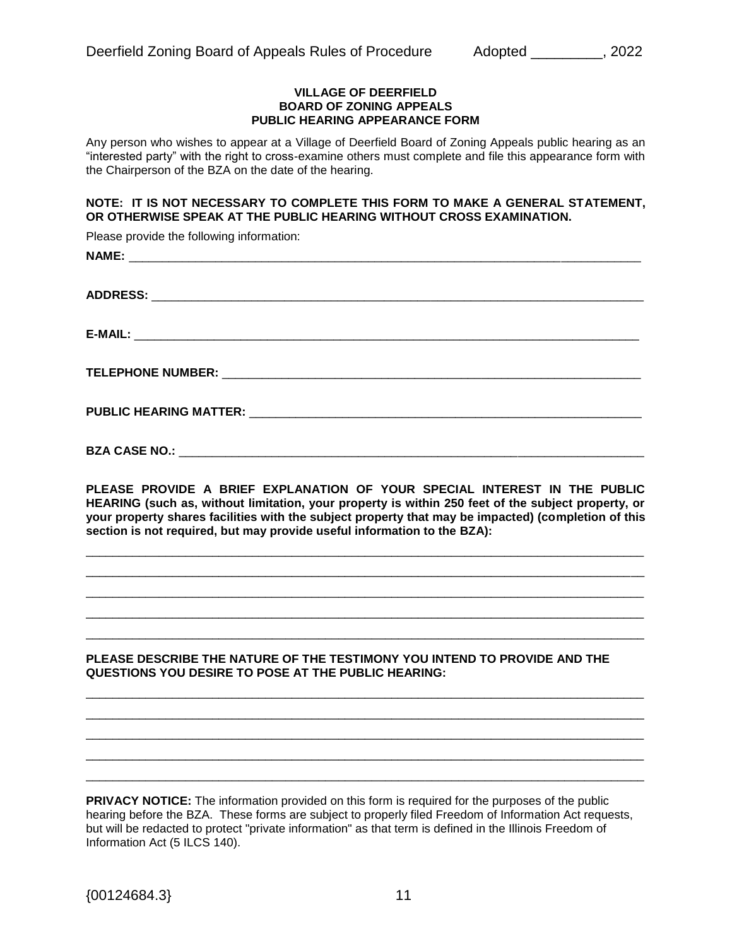#### **VILLAGE OF DEERFIELD BOARD OF ZONING APPEALS PUBLIC HEARING APPEARANCE FORM**

Any person who wishes to appear at a Village of Deerfield Board of Zoning Appeals public hearing as an "interested party" with the right to cross-examine others must complete and file this appearance form with the Chairperson of the BZA on the date of the hearing.

#### **NOTE: IT IS NOT NECESSARY TO COMPLETE THIS FORM TO MAKE A GENERAL STATEMENT, OR OTHERWISE SPEAK AT THE PUBLIC HEARING WITHOUT CROSS EXAMINATION.**

Please provide the following information:

**PLEASE PROVIDE A BRIEF EXPLANATION OF YOUR SPECIAL INTEREST IN THE PUBLIC HEARING (such as, without limitation, your property is within 250 feet of the subject property, or your property shares facilities with the subject property that may be impacted) (completion of this section is not required, but may provide useful information to the BZA):**

\_\_\_\_\_\_\_\_\_\_\_\_\_\_\_\_\_\_\_\_\_\_\_\_\_\_\_\_\_\_\_\_\_\_\_\_\_\_\_\_\_\_\_\_\_\_\_\_\_\_\_\_\_\_\_\_\_\_\_\_\_\_\_\_\_\_\_\_\_\_\_\_\_\_\_\_\_\_\_\_\_\_\_\_ \_\_\_\_\_\_\_\_\_\_\_\_\_\_\_\_\_\_\_\_\_\_\_\_\_\_\_\_\_\_\_\_\_\_\_\_\_\_\_\_\_\_\_\_\_\_\_\_\_\_\_\_\_\_\_\_\_\_\_\_\_\_\_\_\_\_\_\_\_\_\_\_\_\_\_\_\_\_\_\_\_\_\_\_ \_\_\_\_\_\_\_\_\_\_\_\_\_\_\_\_\_\_\_\_\_\_\_\_\_\_\_\_\_\_\_\_\_\_\_\_\_\_\_\_\_\_\_\_\_\_\_\_\_\_\_\_\_\_\_\_\_\_\_\_\_\_\_\_\_\_\_\_\_\_\_\_\_\_\_\_\_\_\_\_\_\_\_\_ \_\_\_\_\_\_\_\_\_\_\_\_\_\_\_\_\_\_\_\_\_\_\_\_\_\_\_\_\_\_\_\_\_\_\_\_\_\_\_\_\_\_\_\_\_\_\_\_\_\_\_\_\_\_\_\_\_\_\_\_\_\_\_\_\_\_\_\_\_\_\_\_\_\_\_\_\_\_\_\_\_\_\_\_ \_\_\_\_\_\_\_\_\_\_\_\_\_\_\_\_\_\_\_\_\_\_\_\_\_\_\_\_\_\_\_\_\_\_\_\_\_\_\_\_\_\_\_\_\_\_\_\_\_\_\_\_\_\_\_\_\_\_\_\_\_\_\_\_\_\_\_\_\_\_\_\_\_\_\_\_\_\_\_\_\_\_\_\_

#### **PLEASE DESCRIBE THE NATURE OF THE TESTIMONY YOU INTEND TO PROVIDE AND THE QUESTIONS YOU DESIRE TO POSE AT THE PUBLIC HEARING:**

\_\_\_\_\_\_\_\_\_\_\_\_\_\_\_\_\_\_\_\_\_\_\_\_\_\_\_\_\_\_\_\_\_\_\_\_\_\_\_\_\_\_\_\_\_\_\_\_\_\_\_\_\_\_\_\_\_\_\_\_\_\_\_\_\_\_\_\_\_\_\_\_\_\_\_\_\_\_\_\_\_\_\_\_ \_\_\_\_\_\_\_\_\_\_\_\_\_\_\_\_\_\_\_\_\_\_\_\_\_\_\_\_\_\_\_\_\_\_\_\_\_\_\_\_\_\_\_\_\_\_\_\_\_\_\_\_\_\_\_\_\_\_\_\_\_\_\_\_\_\_\_\_\_\_\_\_\_\_\_\_\_\_\_\_\_\_\_\_ \_\_\_\_\_\_\_\_\_\_\_\_\_\_\_\_\_\_\_\_\_\_\_\_\_\_\_\_\_\_\_\_\_\_\_\_\_\_\_\_\_\_\_\_\_\_\_\_\_\_\_\_\_\_\_\_\_\_\_\_\_\_\_\_\_\_\_\_\_\_\_\_\_\_\_\_\_\_\_\_\_\_\_\_ \_\_\_\_\_\_\_\_\_\_\_\_\_\_\_\_\_\_\_\_\_\_\_\_\_\_\_\_\_\_\_\_\_\_\_\_\_\_\_\_\_\_\_\_\_\_\_\_\_\_\_\_\_\_\_\_\_\_\_\_\_\_\_\_\_\_\_\_\_\_\_\_\_\_\_\_\_\_\_\_\_\_\_\_ \_\_\_\_\_\_\_\_\_\_\_\_\_\_\_\_\_\_\_\_\_\_\_\_\_\_\_\_\_\_\_\_\_\_\_\_\_\_\_\_\_\_\_\_\_\_\_\_\_\_\_\_\_\_\_\_\_\_\_\_\_\_\_\_\_\_\_\_\_\_\_\_\_\_\_\_\_\_\_\_\_\_\_\_

**PRIVACY NOTICE:** The information provided on this form is required for the purposes of the public hearing before the BZA. These forms are subject to properly filed Freedom of Information Act requests, but will be redacted to protect "private information" as that term is defined in the Illinois Freedom of Information Act (5 ILCS 140).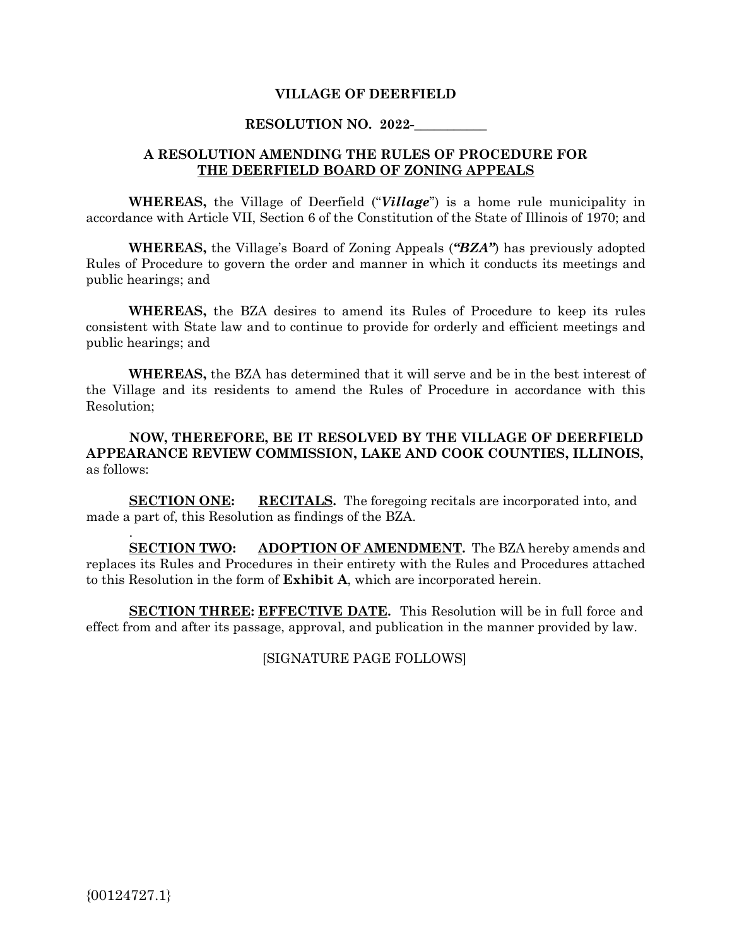#### **VILLAGE OF DEERFIELD**

#### **RESOLUTION NO. 2022-**

#### **A RESOLUTION AMENDING THE RULES OF PROCEDURE FOR THE DEERFIELD BOARD OF ZONING APPEALS**

**WHEREAS,** the Village of Deerfield ("*Village*") is a home rule municipality in accordance with Article VII, Section 6 of the Constitution of the State of Illinois of 1970; and

**WHEREAS,** the Village's Board of Zoning Appeals (*"BZA"*) has previously adopted Rules of Procedure to govern the order and manner in which it conducts its meetings and public hearings; and

**WHEREAS,** the BZA desires to amend its Rules of Procedure to keep its rules consistent with State law and to continue to provide for orderly and efficient meetings and public hearings; and

**WHEREAS,** the BZA has determined that it will serve and be in the best interest of the Village and its residents to amend the Rules of Procedure in accordance with this Resolution;

**NOW, THEREFORE, BE IT RESOLVED BY THE VILLAGE OF DEERFIELD APPEARANCE REVIEW COMMISSION, LAKE AND COOK COUNTIES, ILLINOIS,** as follows:

**SECTION ONE:** RECITALS. The foregoing recitals are incorporated into, and made a part of, this Resolution as findings of the BZA.

**SECTION TWO: ADOPTION OF AMENDMENT.** The BZA hereby amends and replaces its Rules and Procedures in their entirety with the Rules and Procedures attached to this Resolution in the form of **Exhibit A**, which are incorporated herein.

**SECTION THREE: EFFECTIVE DATE.** This Resolution will be in full force and effect from and after its passage, approval, and publication in the manner provided by law.

[SIGNATURE PAGE FOLLOWS]

.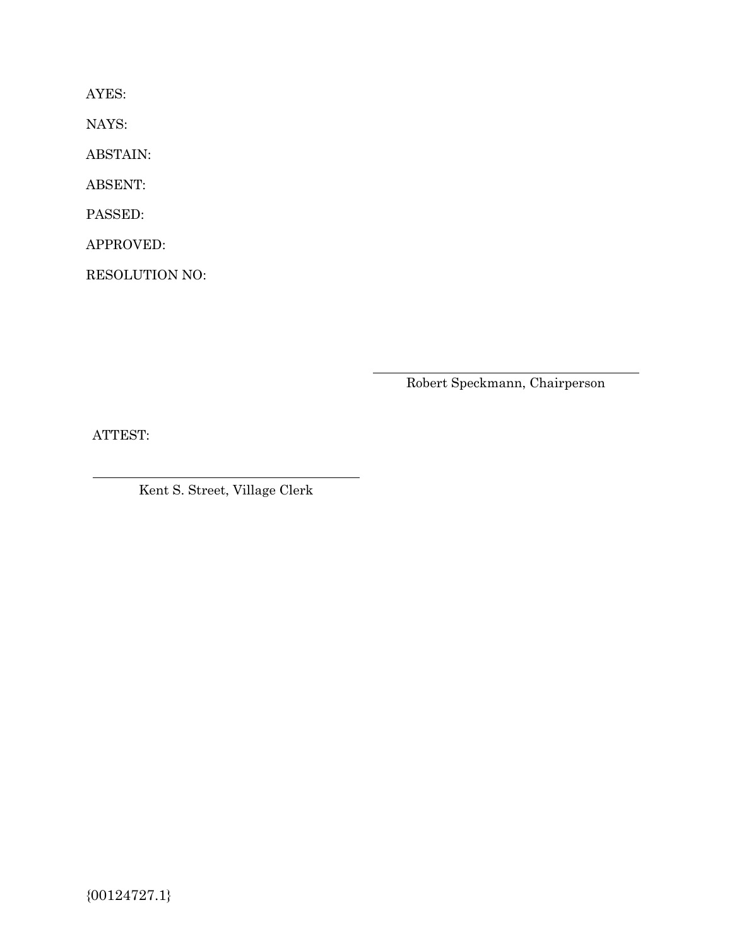AYES:

NAYS:

ABSTAIN:

ABSENT:

PASSED:

APPROVED:

RESOLUTION NO:

Robert Speckmann, Chairperson

ATTEST:

Kent S. Street, Village Clerk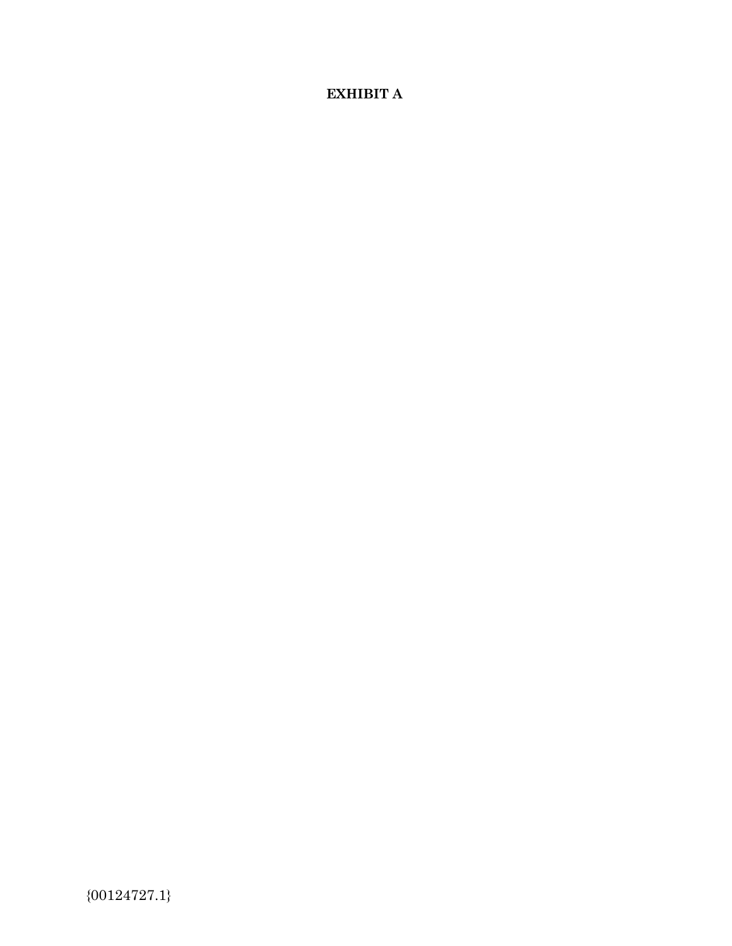# **EXHIBIT A**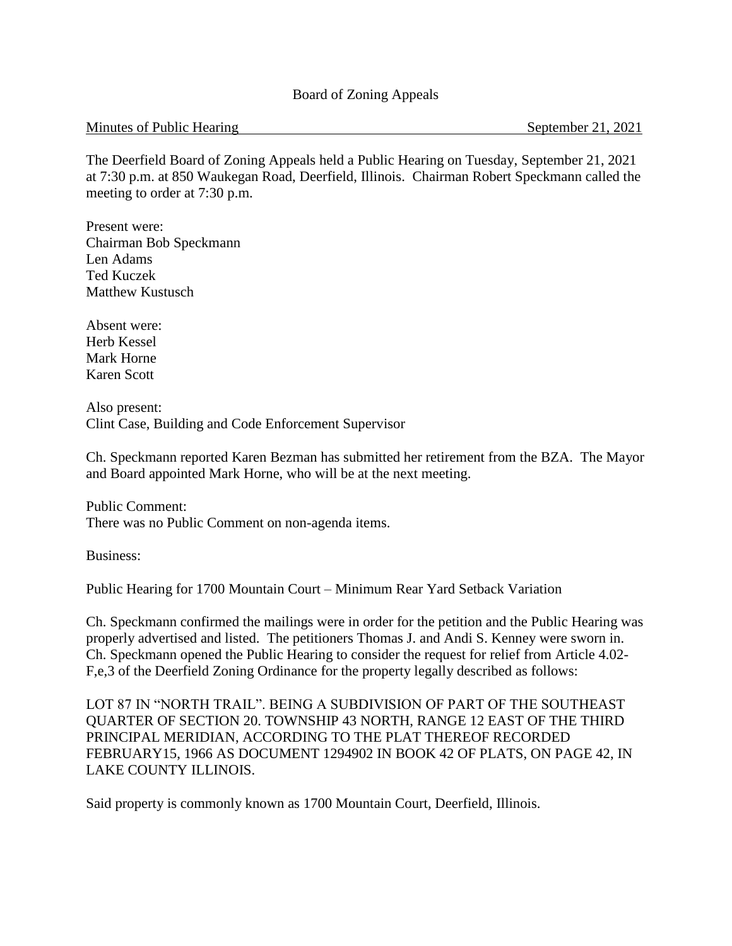#### Board of Zoning Appeals

#### Minutes of Public Hearing September 21, 2021

The Deerfield Board of Zoning Appeals held a Public Hearing on Tuesday, September 21, 2021 at 7:30 p.m. at 850 Waukegan Road, Deerfield, Illinois. Chairman Robert Speckmann called the meeting to order at 7:30 p.m.

Present were: Chairman Bob Speckmann Len Adams Ted Kuczek Matthew Kustusch

Absent were: Herb Kessel Mark Horne Karen Scott

Also present: Clint Case, Building and Code Enforcement Supervisor

Ch. Speckmann reported Karen Bezman has submitted her retirement from the BZA. The Mayor and Board appointed Mark Horne, who will be at the next meeting.

Public Comment: There was no Public Comment on non-agenda items.

Business:

Public Hearing for 1700 Mountain Court – Minimum Rear Yard Setback Variation

Ch. Speckmann confirmed the mailings were in order for the petition and the Public Hearing was properly advertised and listed. The petitioners Thomas J. and Andi S. Kenney were sworn in. Ch. Speckmann opened the Public Hearing to consider the request for relief from Article 4.02- F,e,3 of the Deerfield Zoning Ordinance for the property legally described as follows:

LOT 87 IN "NORTH TRAIL". BEING A SUBDIVISION OF PART OF THE SOUTHEAST QUARTER OF SECTION 20. TOWNSHIP 43 NORTH, RANGE 12 EAST OF THE THIRD PRINCIPAL MERIDIAN, ACCORDING TO THE PLAT THEREOF RECORDED FEBRUARY15, 1966 AS DOCUMENT 1294902 IN BOOK 42 OF PLATS, ON PAGE 42, IN LAKE COUNTY ILLINOIS.

Said property is commonly known as 1700 Mountain Court, Deerfield, Illinois.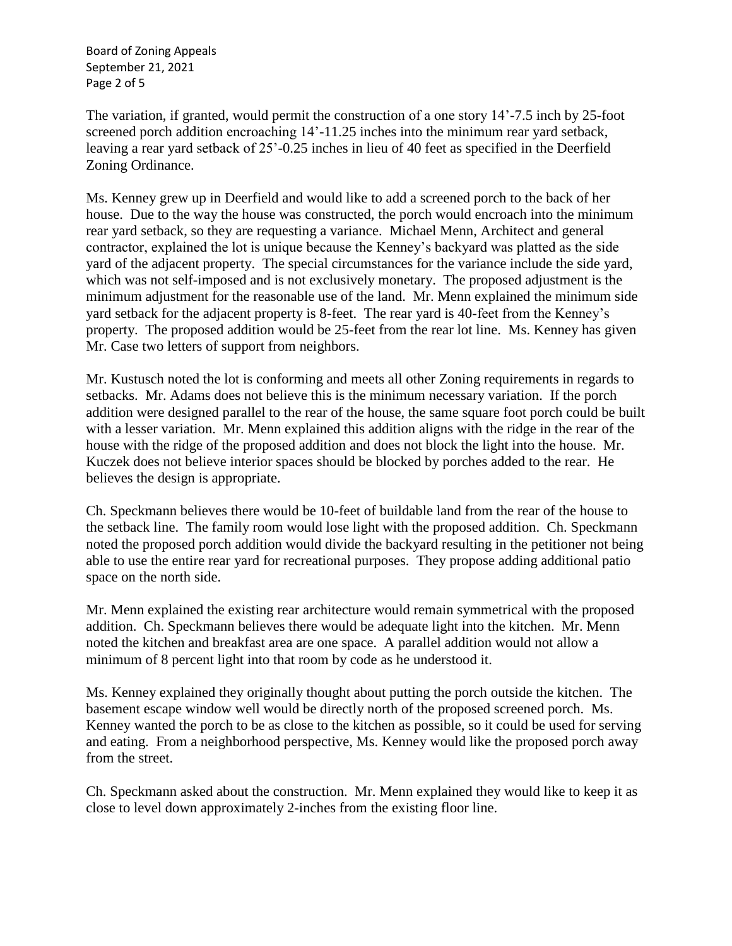Board of Zoning Appeals September 21, 2021 Page 2 of 5

The variation, if granted, would permit the construction of a one story 14'-7.5 inch by 25-foot screened porch addition encroaching 14'-11.25 inches into the minimum rear yard setback, leaving a rear yard setback of 25'-0.25 inches in lieu of 40 feet as specified in the Deerfield Zoning Ordinance.

Ms. Kenney grew up in Deerfield and would like to add a screened porch to the back of her house. Due to the way the house was constructed, the porch would encroach into the minimum rear yard setback, so they are requesting a variance. Michael Menn, Architect and general contractor, explained the lot is unique because the Kenney's backyard was platted as the side yard of the adjacent property. The special circumstances for the variance include the side yard, which was not self-imposed and is not exclusively monetary. The proposed adjustment is the minimum adjustment for the reasonable use of the land. Mr. Menn explained the minimum side yard setback for the adjacent property is 8-feet. The rear yard is 40-feet from the Kenney's property. The proposed addition would be 25-feet from the rear lot line. Ms. Kenney has given Mr. Case two letters of support from neighbors.

Mr. Kustusch noted the lot is conforming and meets all other Zoning requirements in regards to setbacks. Mr. Adams does not believe this is the minimum necessary variation. If the porch addition were designed parallel to the rear of the house, the same square foot porch could be built with a lesser variation. Mr. Menn explained this addition aligns with the ridge in the rear of the house with the ridge of the proposed addition and does not block the light into the house. Mr. Kuczek does not believe interior spaces should be blocked by porches added to the rear. He believes the design is appropriate.

Ch. Speckmann believes there would be 10-feet of buildable land from the rear of the house to the setback line. The family room would lose light with the proposed addition. Ch. Speckmann noted the proposed porch addition would divide the backyard resulting in the petitioner not being able to use the entire rear yard for recreational purposes. They propose adding additional patio space on the north side.

Mr. Menn explained the existing rear architecture would remain symmetrical with the proposed addition. Ch. Speckmann believes there would be adequate light into the kitchen. Mr. Menn noted the kitchen and breakfast area are one space. A parallel addition would not allow a minimum of 8 percent light into that room by code as he understood it.

Ms. Kenney explained they originally thought about putting the porch outside the kitchen. The basement escape window well would be directly north of the proposed screened porch. Ms. Kenney wanted the porch to be as close to the kitchen as possible, so it could be used for serving and eating. From a neighborhood perspective, Ms. Kenney would like the proposed porch away from the street.

Ch. Speckmann asked about the construction. Mr. Menn explained they would like to keep it as close to level down approximately 2-inches from the existing floor line.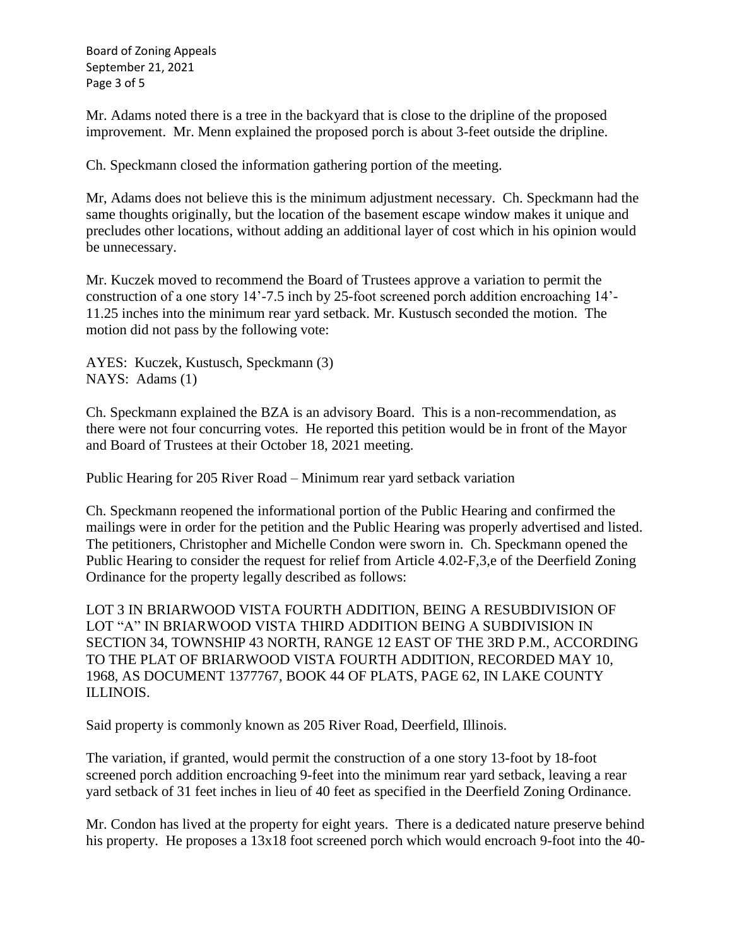Board of Zoning Appeals September 21, 2021 Page 3 of 5

Mr. Adams noted there is a tree in the backyard that is close to the dripline of the proposed improvement. Mr. Menn explained the proposed porch is about 3-feet outside the dripline.

Ch. Speckmann closed the information gathering portion of the meeting.

Mr, Adams does not believe this is the minimum adjustment necessary. Ch. Speckmann had the same thoughts originally, but the location of the basement escape window makes it unique and precludes other locations, without adding an additional layer of cost which in his opinion would be unnecessary.

Mr. Kuczek moved to recommend the Board of Trustees approve a variation to permit the construction of a one story 14'-7.5 inch by 25-foot screened porch addition encroaching 14'- 11.25 inches into the minimum rear yard setback. Mr. Kustusch seconded the motion. The motion did not pass by the following vote:

AYES: Kuczek, Kustusch, Speckmann (3) NAYS: Adams (1)

Ch. Speckmann explained the BZA is an advisory Board. This is a non-recommendation, as there were not four concurring votes. He reported this petition would be in front of the Mayor and Board of Trustees at their October 18, 2021 meeting.

Public Hearing for 205 River Road – Minimum rear yard setback variation

Ch. Speckmann reopened the informational portion of the Public Hearing and confirmed the mailings were in order for the petition and the Public Hearing was properly advertised and listed. The petitioners, Christopher and Michelle Condon were sworn in. Ch. Speckmann opened the Public Hearing to consider the request for relief from Article 4.02-F,3,e of the Deerfield Zoning Ordinance for the property legally described as follows:

LOT 3 IN BRIARWOOD VISTA FOURTH ADDITION, BEING A RESUBDIVISION OF LOT "A" IN BRIARWOOD VISTA THIRD ADDITION BEING A SUBDIVISION IN SECTION 34, TOWNSHIP 43 NORTH, RANGE 12 EAST OF THE 3RD P.M., ACCORDING TO THE PLAT OF BRIARWOOD VISTA FOURTH ADDITION, RECORDED MAY 10, 1968, AS DOCUMENT 1377767, BOOK 44 OF PLATS, PAGE 62, IN LAKE COUNTY ILLINOIS.

Said property is commonly known as 205 River Road, Deerfield, Illinois.

The variation, if granted, would permit the construction of a one story 13-foot by 18-foot screened porch addition encroaching 9-feet into the minimum rear yard setback, leaving a rear yard setback of 31 feet inches in lieu of 40 feet as specified in the Deerfield Zoning Ordinance.

Mr. Condon has lived at the property for eight years. There is a dedicated nature preserve behind his property. He proposes a 13x18 foot screened porch which would encroach 9-foot into the 40-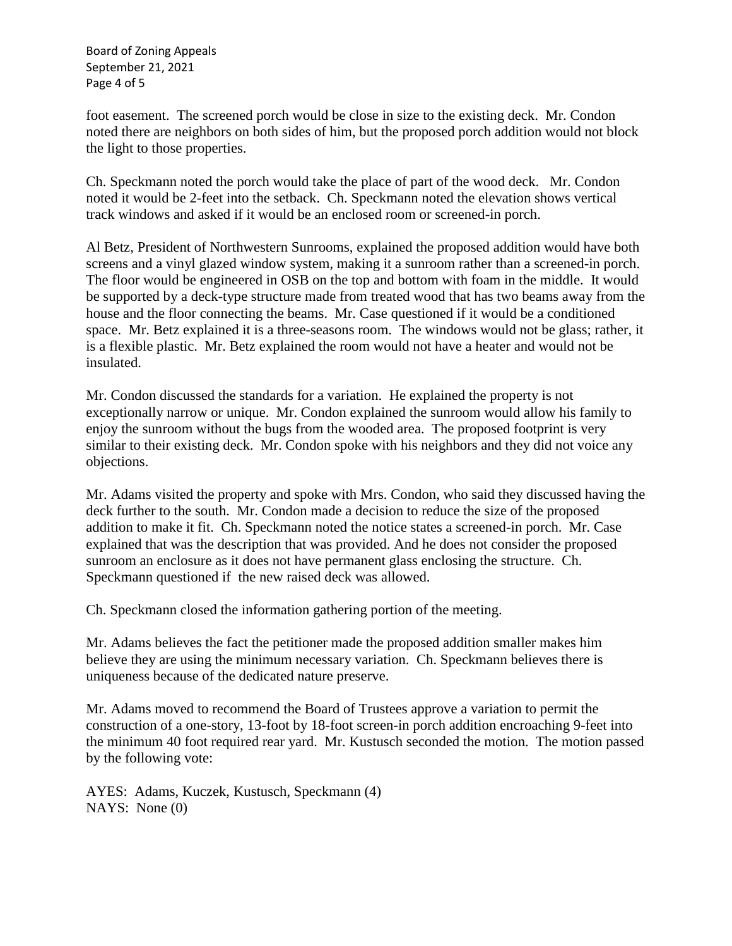Board of Zoning Appeals September 21, 2021 Page 4 of 5

foot easement. The screened porch would be close in size to the existing deck. Mr. Condon noted there are neighbors on both sides of him, but the proposed porch addition would not block the light to those properties.

Ch. Speckmann noted the porch would take the place of part of the wood deck. Mr. Condon noted it would be 2-feet into the setback. Ch. Speckmann noted the elevation shows vertical track windows and asked if it would be an enclosed room or screened-in porch.

Al Betz, President of Northwestern Sunrooms, explained the proposed addition would have both screens and a vinyl glazed window system, making it a sunroom rather than a screened-in porch. The floor would be engineered in OSB on the top and bottom with foam in the middle. It would be supported by a deck-type structure made from treated wood that has two beams away from the house and the floor connecting the beams. Mr. Case questioned if it would be a conditioned space. Mr. Betz explained it is a three-seasons room. The windows would not be glass; rather, it is a flexible plastic. Mr. Betz explained the room would not have a heater and would not be insulated.

Mr. Condon discussed the standards for a variation. He explained the property is not exceptionally narrow or unique. Mr. Condon explained the sunroom would allow his family to enjoy the sunroom without the bugs from the wooded area. The proposed footprint is very similar to their existing deck. Mr. Condon spoke with his neighbors and they did not voice any objections.

Mr. Adams visited the property and spoke with Mrs. Condon, who said they discussed having the deck further to the south. Mr. Condon made a decision to reduce the size of the proposed addition to make it fit. Ch. Speckmann noted the notice states a screened-in porch. Mr. Case explained that was the description that was provided. And he does not consider the proposed sunroom an enclosure as it does not have permanent glass enclosing the structure. Ch. Speckmann questioned if the new raised deck was allowed.

Ch. Speckmann closed the information gathering portion of the meeting.

Mr. Adams believes the fact the petitioner made the proposed addition smaller makes him believe they are using the minimum necessary variation. Ch. Speckmann believes there is uniqueness because of the dedicated nature preserve.

Mr. Adams moved to recommend the Board of Trustees approve a variation to permit the construction of a one-story, 13-foot by 18-foot screen-in porch addition encroaching 9-feet into the minimum 40 foot required rear yard. Mr. Kustusch seconded the motion. The motion passed by the following vote:

AYES: Adams, Kuczek, Kustusch, Speckmann (4) NAYS: None (0)